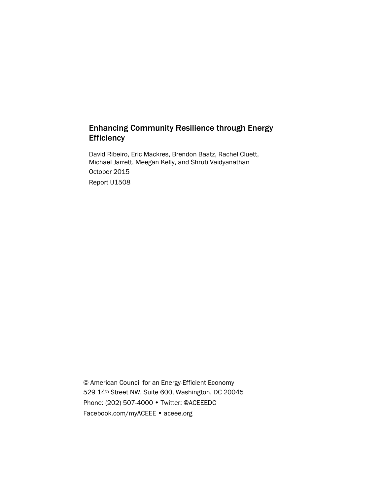# Enhancing Community Resilience through Energy **Efficiency**

David Ribeiro, Eric Mackres, Brendon Baatz, Rachel Cluett, Michael Jarrett, Meegan Kelly, and Shruti Vaidyanathan October 2015 Report U1508

© American Council for an Energy-Efficient Economy 529 14th Street NW, Suite 600, Washington, DC 20045 Phone: (202) 507-4000 • Twitter: @ACEEEDC Facebook.com/myACEEE • aceee.org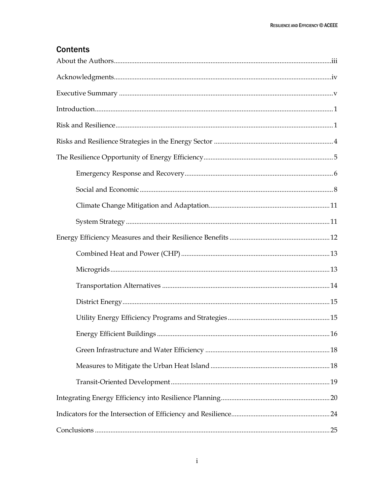# **Contents**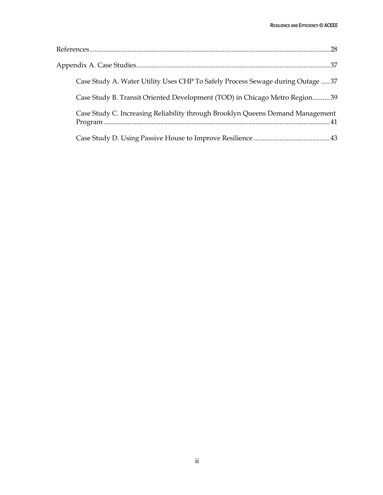| Case Study A. Water Utility Uses CHP To Safely Process Sewage during Outage  37 |
|---------------------------------------------------------------------------------|
| Case Study B. Transit Oriented Development (TOD) in Chicago Metro Region39      |
| Case Study C. Increasing Reliability through Brooklyn Queens Demand Management  |
|                                                                                 |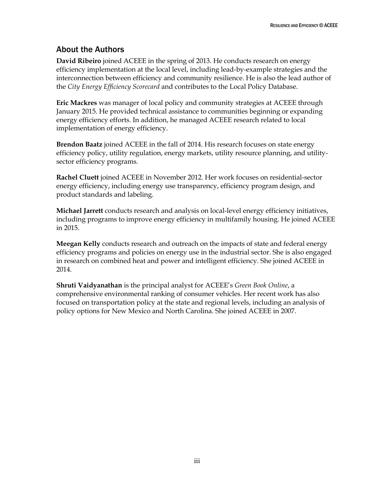# <span id="page-3-0"></span>About the Authors

**David Ribeiro** joined ACEEE in the spring of 2013. He conducts research on energy efficiency implementation at the local level, including lead-by-example strategies and the interconnection between efficiency and community resilience. He is also the lead author of the *City Energy Efficiency Scorecard* and contributes to the Local Policy Database.

**Eric Mackres** was manager of local policy and community strategies at ACEEE through January 2015. He provided technical assistance to communities beginning or expanding energy efficiency efforts. In addition, he managed ACEEE research related to local implementation of energy efficiency.

**Brendon Baatz** joined ACEEE in the fall of 2014. His research focuses on state energy efficiency policy, utility regulation, energy markets, utility resource planning, and utilitysector efficiency programs.

**Rachel Cluett** joined ACEEE in November 2012. Her work focuses on residential-sector energy efficiency, including energy use transparency, efficiency program design, and product standards and labeling.

**Michael Jarrett** conducts research and analysis on local-level energy efficiency initiatives, including programs to improve energy efficiency in multifamily housing. He joined ACEEE in 2015.

**Meegan Kelly** conducts research and outreach on the impacts of state and federal energy efficiency programs and policies on energy use in the industrial sector. She is also engaged in research on combined heat and power and intelligent efficiency. She joined ACEEE in 2014.

**Shruti Vaidyanathan** is the principal analyst for ACEEE's *Green Book Online*, a comprehensive environmental ranking of consumer vehicles. Her recent work has also focused on transportation policy at the state and regional levels, including an analysis of policy options for New Mexico and North Carolina. She joined ACEEE in 2007.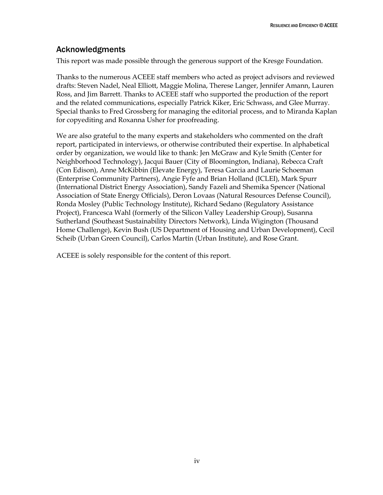### <span id="page-4-0"></span>Acknowledgments

This report was made possible through the generous support of the Kresge Foundation.

Thanks to the numerous ACEEE staff members who acted as project advisors and reviewed drafts: Steven Nadel, Neal Elliott, Maggie Molina, Therese Langer, Jennifer Amann, Lauren Ross, and Jim Barrett. Thanks to ACEEE staff who supported the production of the report and the related communications, especially Patrick Kiker, Eric Schwass, and Glee Murray. Special thanks to Fred Grossberg for managing the editorial process, and to Miranda Kaplan for copyediting and Roxanna Usher for proofreading.

We are also grateful to the many experts and stakeholders who commented on the draft report, participated in interviews, or otherwise contributed their expertise. In alphabetical order by organization, we would like to thank: Jen McGraw and Kyle Smith (Center for Neighborhood Technology), Jacqui Bauer (City of Bloomington, Indiana), Rebecca Craft (Con Edison), Anne McKibbin (Elevate Energy), Teresa Garcia and Laurie Schoeman (Enterprise Community Partners), Angie Fyfe and Brian Holland (ICLEI), Mark Spurr (International District Energy Association), Sandy Fazeli and Shemika Spencer (National Association of State Energy Officials), Deron Lovaas (Natural Resources Defense Council), Ronda Mosley (Public Technology Institute), Richard Sedano (Regulatory Assistance Project), Francesca Wahl (formerly of the Silicon Valley Leadership Group), Susanna Sutherland (Southeast Sustainability Directors Network), Linda Wigington (Thousand Home Challenge), Kevin Bush (US Department of Housing and Urban Development), Cecil Scheib (Urban Green Council), Carlos Martín (Urban Institute), and Rose Grant.

ACEEE is solely responsible for the content of this report.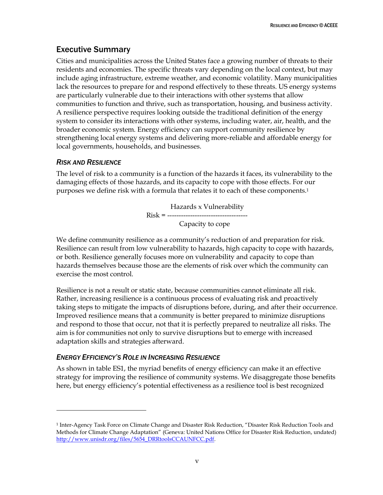# <span id="page-5-0"></span>Executive Summary

Cities and municipalities across the United States face a growing number of threats to their residents and economies. The specific threats vary depending on the local context, but may include aging infrastructure, extreme weather, and economic volatility. Many municipalities lack the resources to prepare for and respond effectively to these threats. US energy systems are particularly vulnerable due to their interactions with other systems that allow communities to function and thrive, such as transportation, housing, and business activity. A resilience perspective requires looking outside the traditional definition of the energy system to consider its interactions with other systems, including water, air, health, and the broader economic system. Energy efficiency can support community resilience by strengthening local energy systems and delivering more-reliable and affordable energy for local governments, households, and businesses.

### *RISK AND RESILIENCE*

 $\overline{a}$ 

The level of risk to a community is a function of the hazards it faces, its vulnerability to the damaging effects of those hazards, and its capacity to cope with those effects. For our purposes we define risk with a formula that relates it to each of these components. 1

> Hazards x Vulnerability Risk = ----------------------------------- Capacity to cope

We define community resilience as a community's reduction of and preparation for risk. Resilience can result from low vulnerability to hazards, high capacity to cope with hazards, or both. Resilience generally focuses more on vulnerability and capacity to cope than hazards themselves because those are the elements of risk over which the community can exercise the most control.

Resilience is not a result or static state, because communities cannot eliminate all risk. Rather, increasing resilience is a continuous process of evaluating risk and proactively taking steps to mitigate the impacts of disruptions before, during, and after their occurrence. Improved resilience means that a community is better prepared to minimize disruptions and respond to those that occur, not that it is perfectly prepared to neutralize all risks. The aim is for communities not only to survive disruptions but to emerge with increased adaptation skills and strategies afterward.

### *ENERGY EFFICIENCY'S ROLE IN INCREASING RESILIENCE*

As shown in table ES1, the myriad benefits of energy efficiency can make it an effective strategy for improving the resilience of community systems. We disaggregate those benefits here, but energy efficiency's potential effectiveness as a resilience tool is best recognized

<sup>1</sup> Inter-Agency Task Force on Climate Change and Disaster Risk Reduction, "Disaster Risk Reduction Tools and Methods for Climate Change Adaptation" (Geneva: United Nations Office for Disaster Risk Reduction, undated) [http://www.unisdr.org/files/5654\\_DRRtoolsCCAUNFCC.pdf.](http://www.unisdr.org/files/5654_DRRtoolsCCAUNFCC.pdf)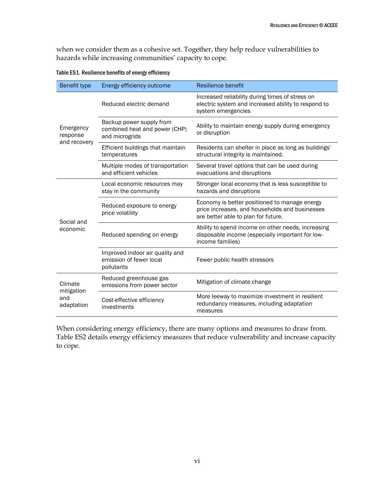when we consider them as a cohesive set. Together, they help reduce vulnerabilities to hazards while increasing communities' capacity to cope.

| Benefit type                               | Energy efficiency outcome                                                   | <b>Resilience benefit</b>                                                                                                              |
|--------------------------------------------|-----------------------------------------------------------------------------|----------------------------------------------------------------------------------------------------------------------------------------|
| Emergency<br>response<br>and recovery      | Reduced electric demand                                                     | Increased reliability during times of stress on<br>electric system and increased ability to respond to<br>system emergencies           |
|                                            | Backup power supply from<br>combined heat and power (CHP)<br>and microgrids | Ability to maintain energy supply during emergency<br>or disruption                                                                    |
|                                            | Efficient buildings that maintain<br>temperatures                           | Residents can shelter in place as long as buildings'<br>structural integrity is maintained.                                            |
|                                            | Multiple modes of transportation<br>and efficient vehicles                  | Several travel options that can be used during<br>evacuations and disruptions                                                          |
| Social and<br>economic                     | Local economic resources may<br>stay in the community                       | Stronger local economy that is less susceptible to<br>hazards and disruptions                                                          |
|                                            | Reduced exposure to energy<br>price volatility                              | Economy is better positioned to manage energy<br>price increases, and households and businesses<br>are better able to plan for future. |
|                                            | Reduced spending on energy                                                  | Ability to spend income on other needs, increasing<br>disposable income (especially important for low-<br>income families)             |
|                                            | Improved indoor air quality and<br>emission of fewer local<br>pollutants    | Fewer public health stressors                                                                                                          |
| Climate<br>mitigation<br>and<br>adaptation | Reduced greenhouse gas<br>emissions from power sector                       | Mitigation of climate change                                                                                                           |
|                                            | Cost-effective efficiency<br>investments                                    | More leeway to maximize investment in resilient<br>redundancy measures, including adaptation<br>measures                               |

Table ES1. Resilience benefits of energy efficiency

When considering energy efficiency, there are many options and measures to draw from. Table ES2 details energy efficiency measures that reduce vulnerability and increase capacity to cope.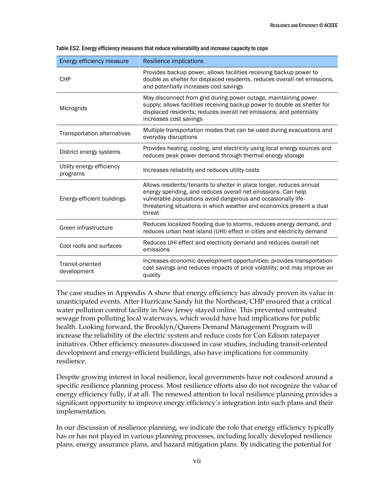| Energy efficiency measure             | Resilience implications                                                                                                                                                                                                                                                                |
|---------------------------------------|----------------------------------------------------------------------------------------------------------------------------------------------------------------------------------------------------------------------------------------------------------------------------------------|
| <b>CHP</b>                            | Provides backup power, allows facilities receiving backup power to<br>double as shelter for displaced residents, reduces overall net emissions,<br>and potentially increases cost savings                                                                                              |
| Microgrids                            | May disconnect from grid during power outage, maintaining power<br>supply; allows facilities receiving backup power to double as shelter for<br>displaced residents; reduces overall net emissions; and potentially<br>increases cost savings                                          |
| <b>Transportation alternatives</b>    | Multiple transportation modes that can be used during evacuations and<br>everyday disruptions                                                                                                                                                                                          |
| District energy systems               | Provides heating, cooling, and electricity using local energy sources and<br>reduces peak power demand through thermal energy storage                                                                                                                                                  |
| Utility energy efficiency<br>programs | Increases reliability and reduces utility costs                                                                                                                                                                                                                                        |
| Energy-efficient buildings            | Allows residents/tenants to shelter in place longer, reduces annual<br>energy spending, and reduces overall net emissions. Can help<br>vulnerable populations avoid dangerous and occasionally life-<br>threatening situations in which weather and economics present a dual<br>threat |
| Green infrastructure                  | Reduces localized flooding due to storms, reduces energy demand, and<br>reduces urban heat island (UHI) effect in cities and electricity demand                                                                                                                                        |
| Cool roofs and surfaces               | Reduces UHI effect and electricity demand and reduces overall net<br>emissions                                                                                                                                                                                                         |
| Transit-oriented<br>development       | Increases economic development opportunities; provides transportation<br>cost savings and reduces impacts of price volatility; and may improve air<br>quality                                                                                                                          |

|  | Table ES2. Energy efficiency measures that reduce vulnerability and increase capacity to cope |  |
|--|-----------------------------------------------------------------------------------------------|--|
|--|-----------------------------------------------------------------------------------------------|--|

The case studies in Appendix A show that energy efficiency has already proven its value in unanticipated events. After Hurricane Sandy hit the Northeast, CHP ensured that a critical water pollution control facility in New Jersey stayed online. This prevented untreated sewage from polluting local waterways, which would have had implications for public health. Looking forward, the Brooklyn/Queens Demand Management Program will increase the reliability of the electric system and reduce costs for Con Edison ratepayer initiatives. Other efficiency measures discussed in case studies, including transit-oriented development and energy-efficient buildings, also have implications for community resilience.

Despite growing interest in local resilience, local governments have not coalesced around a specific resilience planning process. Most resilience efforts also do not recognize the value of energy efficiency fully, if at all. The renewed attention to local resilience planning provides a significant opportunity to improve energy efficiency's integration into such plans and their implementation.

In our discussion of resilience planning, we indicate the role that energy efficiency typically has or has not played in various planning processes, including locally developed resilience plans, energy assurance plans, and hazard mitigation plans. By indicating the potential for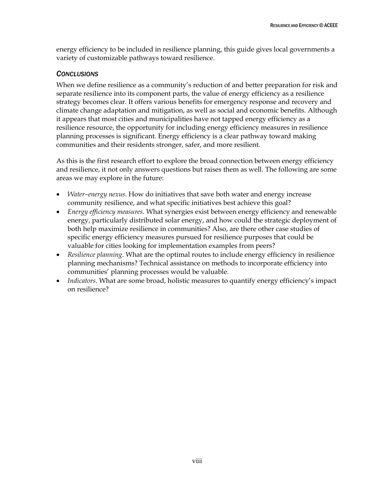energy efficiency to be included in resilience planning, this guide gives local governments a variety of customizable pathways toward resilience.

#### *CONCLUSIONS*

When we define resilience as a community's reduction of and better preparation for risk and separate resilience into its component parts, the value of energy efficiency as a resilience strategy becomes clear. It offers various benefits for emergency response and recovery and climate change adaptation and mitigation, as well as social and economic benefits. Although it appears that most cities and municipalities have not tapped energy efficiency as a resilience resource, the opportunity for including energy efficiency measures in resilience planning processes is significant. Energy efficiency is a clear pathway toward making communities and their residents stronger, safer, and more resilient.

As this is the first research effort to explore the broad connection between energy efficiency and resilience, it not only answers questions but raises them as well. The following are some areas we may explore in the future:

- *Water–energy nexus*. How do initiatives that save both water and energy increase community resilience, and what specific initiatives best achieve this goal?
- *Energy efficiency measures*. What synergies exist between energy efficiency and renewable energy, particularly distributed solar energy, and how could the strategic deployment of both help maximize resilience in communities? Also, are there other case studies of specific energy efficiency measures pursued for resilience purposes that could be valuable for cities looking for implementation examples from peers?
- *Resilience planning*. What are the optimal routes to include energy efficiency in resilience planning mechanisms? Technical assistance on methods to incorporate efficiency into communities' planning processes would be valuable.
- *Indicators*. What are some broad, holistic measures to quantify energy efficiency's impact on resilience?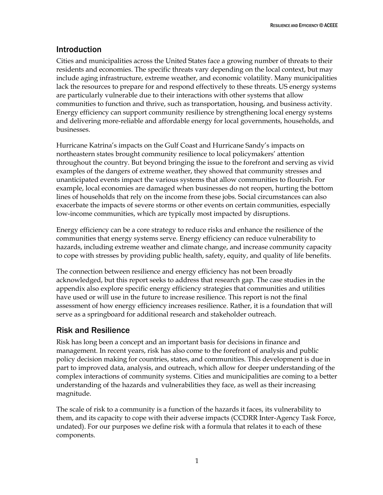## <span id="page-9-0"></span>Introduction

Cities and municipalities across the United States face a growing number of threats to their residents and economies. The specific threats vary depending on the local context, but may include aging infrastructure, extreme weather, and economic volatility. Many municipalities lack the resources to prepare for and respond effectively to these threats. US energy systems are particularly vulnerable due to their interactions with other systems that allow communities to function and thrive, such as transportation, housing, and business activity. Energy efficiency can support community resilience by strengthening local energy systems and delivering more-reliable and affordable energy for local governments, households, and businesses.

Hurricane Katrina's impacts on the Gulf Coast and Hurricane Sandy's impacts on northeastern states brought community resilience to local policymakers' attention throughout the country. But beyond bringing the issue to the forefront and serving as vivid examples of the dangers of extreme weather, they showed that community stresses and unanticipated events impact the various systems that allow communities to flourish. For example, local economies are damaged when businesses do not reopen, hurting the bottom lines of households that rely on the income from these jobs. Social circumstances can also exacerbate the impacts of severe storms or other events on certain communities, especially low-income communities, which are typically most impacted by disruptions.

Energy efficiency can be a core strategy to reduce risks and enhance the resilience of the communities that energy systems serve. Energy efficiency can reduce vulnerability to hazards, including extreme weather and climate change, and increase community capacity to cope with stresses by providing public health, safety, equity, and quality of life benefits.

The connection between resilience and energy efficiency has not been broadly acknowledged, but this report seeks to address that research gap. The case studies in the appendix also explore specific energy efficiency strategies that communities and utilities have used or will use in the future to increase resilience. This report is not the final assessment of how energy efficiency increases resilience. Rather, it is a foundation that will serve as a springboard for additional research and stakeholder outreach.

### <span id="page-9-1"></span>Risk and Resilience

Risk has long been a concept and an important basis for decisions in finance and management. In recent years, risk has also come to the forefront of analysis and public policy decision making for countries, states, and communities. This development is due in part to improved data, analysis, and outreach, which allow for deeper understanding of the complex interactions of community systems. Cities and municipalities are coming to a better understanding of the hazards and vulnerabilities they face, as well as their increasing magnitude.

The scale of risk to a community is a function of the hazards it faces, its vulnerability to them, and its capacity to cope with their adverse impacts (CCDRR Inter-Agency Task Force, undated). For our purposes we define risk with a formula that relates it to each of these components.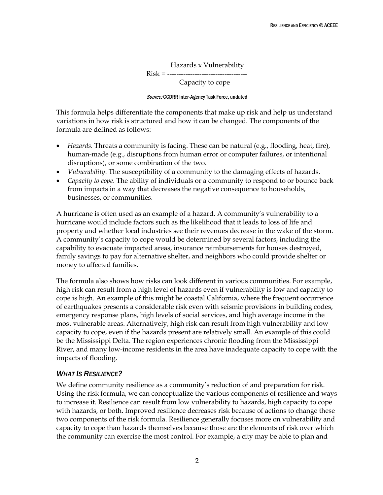Hazards x Vulnerability Risk = -----------------------------------

Capacity to cope

#### Source: CCDRR Inter-Agency Task Force, undated

This formula helps differentiate the components that make up risk and help us understand variations in how risk is structured and how it can be changed. The components of the formula are defined as follows:

- *Hazards*. Threats a community is facing. These can be natural (e.g., flooding, heat, fire), human-made (e.g., disruptions from human error or computer failures, or intentional disruptions), or some combination of the two.
- *Vulnerability*. The susceptibility of a community to the damaging effects of hazards.
- *Capacity to cope*. The ability of individuals or a community to respond to or bounce back from impacts in a way that decreases the negative consequence to households, businesses, or communities.

A hurricane is often used as an example of a hazard. A community's vulnerability to a hurricane would include factors such as the likelihood that it leads to loss of life and property and whether local industries see their revenues decrease in the wake of the storm. A community's capacity to cope would be determined by several factors, including the capability to evacuate impacted areas, insurance reimbursements for houses destroyed, family savings to pay for alternative shelter, and neighbors who could provide shelter or money to affected families.

The formula also shows how risks can look different in various communities. For example, high risk can result from a high level of hazards even if vulnerability is low and capacity to cope is high. An example of this might be coastal California, where the frequent occurrence of earthquakes presents a considerable risk even with seismic provisions in building codes, emergency response plans, high levels of social services, and high average income in the most vulnerable areas. Alternatively, high risk can result from high vulnerability and low capacity to cope, even if the hazards present are relatively small. An example of this could be the Mississippi Delta. The region experiences chronic flooding from the Mississippi River, and many low-income residents in the area have inadequate capacity to cope with the impacts of flooding.

#### *WHAT IS RESILIENCE?*

We define community resilience as a community's reduction of and preparation for risk. Using the risk formula, we can conceptualize the various components of resilience and ways to increase it. Resilience can result from low vulnerability to hazards, high capacity to cope with hazards, or both. Improved resilience decreases risk because of actions to change these two components of the risk formula. Resilience generally focuses more on vulnerability and capacity to cope than hazards themselves because those are the elements of risk over which the community can exercise the most control. For example, a city may be able to plan and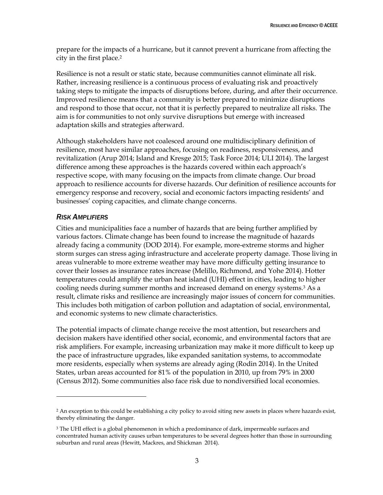prepare for the impacts of a hurricane, but it cannot prevent a hurricane from affecting the city in the first place.<sup>2</sup>

Resilience is not a result or static state, because communities cannot eliminate all risk. Rather, increasing resilience is a continuous process of evaluating risk and proactively taking steps to mitigate the impacts of disruptions before, during, and after their occurrence. Improved resilience means that a community is better prepared to minimize disruptions and respond to those that occur, not that it is perfectly prepared to neutralize all risks. The aim is for communities to not only survive disruptions but emerge with increased adaptation skills and strategies afterward.

Although stakeholders have not coalesced around one multidisciplinary definition of resilience, most have similar approaches, focusing on readiness, responsiveness, and revitalization (Arup 2014; Island and Kresge 2015; Task Force 2014; ULI 2014). The largest difference among these approaches is the hazards covered within each approach's respective scope, with many focusing on the impacts from climate change. Our broad approach to resilience accounts for diverse hazards. Our definition of resilience accounts for emergency response and recovery, social and economic factors impacting residents' and businesses' coping capacities, and climate change concerns.

### *RISK AMPLIFIERS*

 $\overline{a}$ 

Cities and municipalities face a number of hazards that are being further amplified by various factors. Climate change has been found to increase the magnitude of hazards already facing a community (DOD 2014). For example, more-extreme storms and higher storm surges can stress aging infrastructure and accelerate property damage. Those living in areas vulnerable to more extreme weather may have more difficulty getting insurance to cover their losses as insurance rates increase (Melillo, Richmond, and Yohe 2014). Hotter temperatures could amplify the urban heat island (UHI) effect in cities, leading to higher cooling needs during summer months and increased demand on energy systems. <sup>3</sup> As a result, climate risks and resilience are increasingly major issues of concern for communities. This includes both mitigation of carbon pollution and adaptation of social, environmental, and economic systems to new climate characteristics.

The potential impacts of climate change receive the most attention, but researchers and decision makers have identified other social, economic, and environmental factors that are risk amplifiers. For example, increasing urbanization may make it more difficult to keep up the pace of infrastructure upgrades, like expanded sanitation systems, to accommodate more residents, especially when systems are already aging (Rodin 2014). In the United States, urban areas accounted for 81% of the population in 2010, up from 79% in 2000 (Census 2012). Some communities also face risk due to nondiversified local economies.

<sup>&</sup>lt;sup>2</sup> An exception to this could be establishing a city policy to avoid siting new assets in places where hazards exist, thereby eliminating the danger.

<sup>&</sup>lt;sup>3</sup> The UHI effect is a global phenomenon in which a predominance of dark, impermeable surfaces and concentrated human activity causes urban temperatures to be several degrees hotter than those in surrounding suburban and rural areas (Hewitt, Mackres, and Shickman 2014).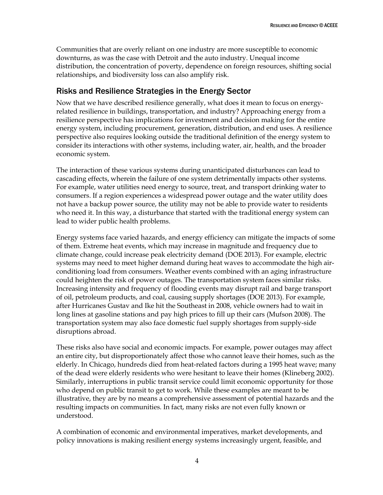Communities that are overly reliant on one industry are more susceptible to economic downturns, as was the case with Detroit and the auto industry. Unequal income distribution, the concentration of poverty, dependence on foreign resources, shifting social relationships, and biodiversity loss can also amplify risk.

### <span id="page-12-0"></span>Risks and Resilience Strategies in the Energy Sector

Now that we have described resilience generally, what does it mean to focus on energyrelated resilience in buildings, transportation, and industry? Approaching energy from a resilience perspective has implications for investment and decision making for the entire energy system, including procurement, generation, distribution, and end uses. A resilience perspective also requires looking outside the traditional definition of the energy system to consider its interactions with other systems, including water, air, health, and the broader economic system.

The interaction of these various systems during unanticipated disturbances can lead to cascading effects, wherein the failure of one system detrimentally impacts other systems. For example, water utilities need energy to source, treat, and transport drinking water to consumers. If a region experiences a widespread power outage and the water utility does not have a backup power source, the utility may not be able to provide water to residents who need it. In this way, a disturbance that started with the traditional energy system can lead to wider public health problems.

Energy systems face varied hazards, and energy efficiency can mitigate the impacts of some of them. Extreme heat events, which may increase in magnitude and frequency due to climate change, could increase peak electricity demand (DOE 2013). For example, electric systems may need to meet higher demand during heat waves to accommodate the high airconditioning load from consumers. Weather events combined with an aging infrastructure could heighten the risk of power outages. The transportation system faces similar risks. Increasing intensity and frequency of flooding events may disrupt rail and barge transport of oil, petroleum products, and coal, causing supply shortages (DOE 2013). For example, after Hurricanes Gustav and Ike hit the Southeast in 2008, vehicle owners had to wait in long lines at gasoline stations and pay high prices to fill up their cars (Mufson 2008). The transportation system may also face domestic fuel supply shortages from supply-side disruptions abroad.

These risks also have social and economic impacts. For example, power outages may affect an entire city, but disproportionately affect those who cannot leave their homes, such as the elderly. In Chicago, hundreds died from heat-related factors during a 1995 heat wave; many of the dead were elderly residents who were hesitant to leave their homes (Klineberg 2002). Similarly, interruptions in public transit service could limit economic opportunity for those who depend on public transit to get to work. While these examples are meant to be illustrative, they are by no means a comprehensive assessment of potential hazards and the resulting impacts on communities. In fact, many risks are not even fully known or understood.

A combination of economic and environmental imperatives, market developments, and policy innovations is making resilient energy systems increasingly urgent, feasible, and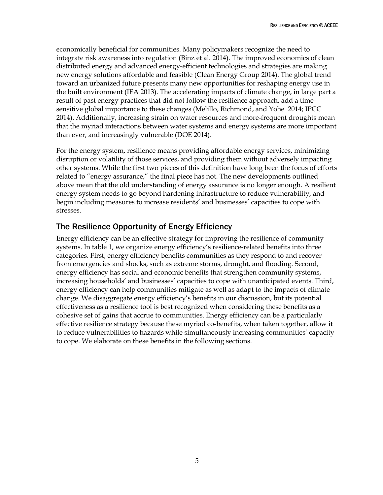economically beneficial for communities. Many policymakers recognize the need to integrate risk awareness into regulation (Binz et al. 2014). The improved economics of clean distributed energy and advanced energy-efficient technologies and strategies are making new energy solutions affordable and feasible (Clean Energy Group 2014). The global trend toward an urbanized future presents many new opportunities for reshaping energy use in the built environment (IEA 2013). The accelerating impacts of climate change, in large part a result of past energy practices that did not follow the resilience approach, add a timesensitive global importance to these changes (Melillo, Richmond, and Yohe 2014; IPCC 2014). Additionally, increasing strain on water resources and more-frequent droughts mean that the myriad interactions between water systems and energy systems are more important than ever, and increasingly vulnerable (DOE 2014).

For the energy system, resilience means providing affordable energy services, minimizing disruption or volatility of those services, and providing them without adversely impacting other systems. While the first two pieces of this definition have long been the focus of efforts related to "energy assurance," the final piece has not. The new developments outlined above mean that the old understanding of energy assurance is no longer enough. A resilient energy system needs to go beyond hardening infrastructure to reduce vulnerability, and begin including measures to increase residents' and businesses' capacities to cope with stresses.

# <span id="page-13-0"></span>The Resilience Opportunity of Energy Efficiency

Energy efficiency can be an effective strategy for improving the resilience of community systems. In table 1, we organize energy efficiency's resilience-related benefits into three categories. First, energy efficiency benefits communities as they respond to and recover from emergencies and shocks, such as extreme storms, drought, and flooding. Second, energy efficiency has social and economic benefits that strengthen community systems, increasing households' and businesses' capacities to cope with unanticipated events. Third, energy efficiency can help communities mitigate as well as adapt to the impacts of climate change. We disaggregate energy efficiency's benefits in our discussion, but its potential effectiveness as a resilience tool is best recognized when considering these benefits as a cohesive set of gains that accrue to communities. Energy efficiency can be a particularly effective resilience strategy because these myriad co-benefits, when taken together, allow it to reduce vulnerabilities to hazards while simultaneously increasing communities' capacity to cope. We elaborate on these benefits in the following sections.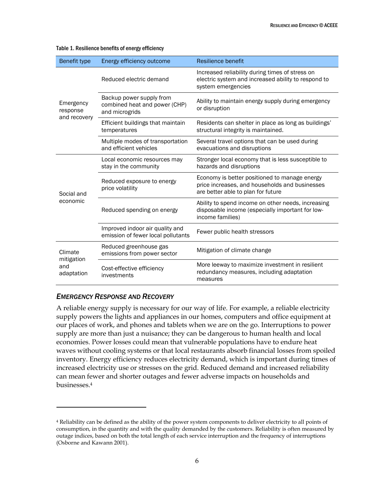| Benefit type                               | Resilience benefit<br>Energy efficiency outcome                             |                                                                                                                                       |
|--------------------------------------------|-----------------------------------------------------------------------------|---------------------------------------------------------------------------------------------------------------------------------------|
| Emergency<br>response<br>and recovery      | Reduced electric demand                                                     | Increased reliability during times of stress on<br>electric system and increased ability to respond to<br>system emergencies          |
|                                            | Backup power supply from<br>combined heat and power (CHP)<br>and microgrids | Ability to maintain energy supply during emergency<br>or disruption                                                                   |
|                                            | Efficient buildings that maintain<br>temperatures                           | Residents can shelter in place as long as buildings'<br>structural integrity is maintained.                                           |
|                                            | Multiple modes of transportation<br>and efficient vehicles                  | Several travel options that can be used during<br>evacuations and disruptions                                                         |
| Social and<br>economic                     | Local economic resources may<br>stay in the community                       | Stronger local economy that is less susceptible to<br>hazards and disruptions                                                         |
|                                            | Reduced exposure to energy<br>price volatility                              | Economy is better positioned to manage energy<br>price increases, and households and businesses<br>are better able to plan for future |
|                                            | Reduced spending on energy                                                  | Ability to spend income on other needs, increasing<br>disposable income (especially important for low-<br>income families)            |
|                                            | Improved indoor air quality and<br>emission of fewer local pollutants       | Fewer public health stressors                                                                                                         |
| Climate<br>mitigation<br>and<br>adaptation | Reduced greenhouse gas<br>emissions from power sector                       | Mitigation of climate change                                                                                                          |
|                                            | Cost-effective efficiency<br>investments                                    | More leeway to maximize investment in resilient<br>redundancy measures, including adaptation<br>measures                              |

#### Table 1. Resilience benefits of energy efficiency

#### <span id="page-14-0"></span>*EMERGENCY RESPONSE AND RECOVERY*

 $\overline{a}$ 

A reliable energy supply is necessary for our way of life. For example, a reliable electricity supply powers the lights and appliances in our homes, computers and office equipment at our places of work, and phones and tablets when we are on the go. Interruptions to power supply are more than just a nuisance; they can be dangerous to human health and local economies. Power losses could mean that vulnerable populations have to endure heat waves without cooling systems or that local restaurants absorb financial losses from spoiled inventory. Energy efficiency reduces electricity demand, which is important during times of increased electricity use or stresses on the grid. Reduced demand and increased reliability can mean fewer and shorter outages and fewer adverse impacts on households and businesses. 4

<sup>4</sup> Reliability can be defined as the ability of the power system components to deliver electricity to all points of consumption, in the quantity and with the quality demanded by the customers. Reliability is often measured by outage indices, based on both the total length of each service interruption and the frequency of interruptions (Osborne and Kawann 2001).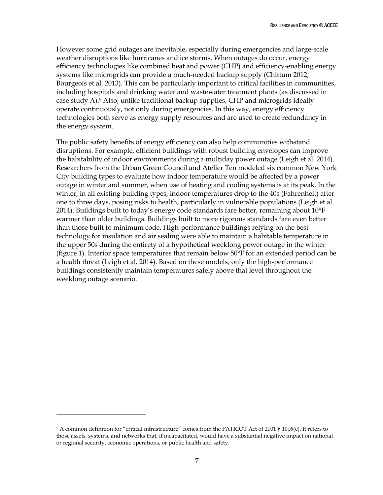However some grid outages are inevitable, especially during emergencies and large-scale weather disruptions like hurricanes and ice storms. When outages do occur, energy efficiency technologies like combined heat and power (CHP) and efficiency-enabling energy systems like microgrids can provide a much-needed backup supply (Chittum 2012; Bourgeois et al. 2013). This can be particularly important to critical facilities in communities, including hospitals and drinking water and wastewater treatment plants (as discussed in case study A).<sup>5</sup> Also, unlike traditional backup supplies, CHP and microgrids ideally operate continuously, not only during emergencies. In this way, energy efficiency technologies both serve as energy supply resources and are used to create redundancy in the energy system.

The public safety benefits of energy efficiency can also help communities withstand disruptions. For example, efficient buildings with robust building envelopes can improve the habitability of indoor environments during a multiday power outage (Leigh et al. 2014). Researchers from the Urban Green Council and Atelier Ten modeled six common New York City building types to evaluate how indoor temperature would be affected by a power outage in winter and summer, when use of heating and cooling systems is at its peak. In the winter, in all existing building types, indoor temperatures drop to the 40s (Fahrenheit) after one to three days, posing risks to health, particularly in vulnerable populations (Leigh et al. 2014). Buildings built to today's energy code standards fare better, remaining about 10°F warmer than older buildings. Buildings built to more rigorous standards fare even better than those built to minimum code. High-performance buildings relying on the best technology for insulation and air sealing were able to maintain a habitable temperature in the upper 50s during the entirety of a hypothetical weeklong power outage in the winter (figure 1). Interior space temperatures that remain below 50°F for an extended period can be a health threat (Leigh et al. 2014). Based on these models, only the high-performance buildings consistently maintain temperatures safely above that level throughout the weeklong outage scenario.

 $\overline{a}$ 

<sup>5</sup> A common definition for "critical infrastructure" comes from the PATRIOT Act of 2001 § 1016(e). It refers to those assets, systems, and networks that, if incapacitated, would have a substantial negative impact on national or regional security, economic operations, or public health and safety.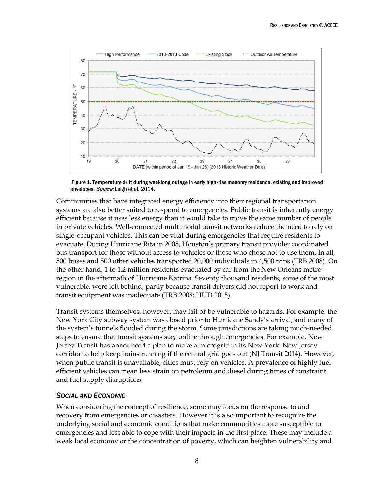

Figure 1.Temperature drift during weeklong outage in early high-rise masonry residence, existing and improved envelopes. Source: Leigh et al. 2014.

Communities that have integrated energy efficiency into their regional transportation systems are also better suited to respond to emergencies. Public transit is inherently energy efficient because it uses less energy than it would take to move the same number of people in private vehicles. Well-connected multimodal transit networks reduce the need to rely on single-occupant vehicles. This can be vital during emergencies that require residents to evacuate. During Hurricane Rita in 2005, Houston's primary transit provider coordinated bus transport for those without access to vehicles or those who chose not to use them. In all, 500 buses and 500 other vehicles transported 20,000 individuals in 4,500 trips (TRB 2008). On the other hand, 1 to 1.2 million residents evacuated by car from the New Orleans metro region in the aftermath of Hurricane Katrina. Seventy thousand residents, some of the most vulnerable, were left behind, partly because transit drivers did not report to work and transit equipment was inadequate (TRB 2008; HUD 2015).

Transit systems themselves, however, may fail or be vulnerable to hazards. For example, the New York City subway system was closed prior to Hurricane Sandy's arrival, and many of the system's tunnels flooded during the storm. Some jurisdictions are taking much-needed steps to ensure that transit systems stay online through emergencies. For example, New Jersey Transit has announced a plan to make a microgrid in its New York–New Jersey corridor to help keep trains running if the central grid goes out (NJ Transit 2014). However, when public transit is unavailable, cities must rely on vehicles. A prevalence of highly fuelefficient vehicles can mean less strain on petroleum and diesel during times of constraint and fuel supply disruptions.

#### <span id="page-16-0"></span>*SOCIAL AND ECONOMIC*

When considering the concept of resilience, some may focus on the response to and recovery from emergencies or disasters. However it is also important to recognize the underlying social and economic conditions that make communities more susceptible to emergencies and less able to cope with their impacts in the first place. These may include a weak local economy or the concentration of poverty, which can heighten vulnerability and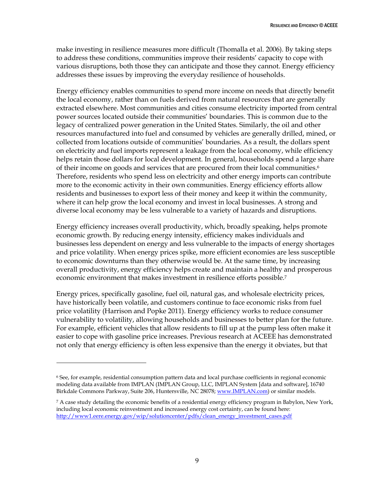make investing in resilience measures more difficult (Thomalla et al. 2006). By taking steps to address these conditions, communities improve their residents' capacity to cope with various disruptions, both those they can anticipate and those they cannot. Energy efficiency addresses these issues by improving the everyday resilience of households.

Energy efficiency enables communities to spend more income on needs that directly benefit the local economy, rather than on fuels derived from natural resources that are generally extracted elsewhere. Most communities and cities consume electricity imported from central power sources located outside their communities' boundaries. This is common due to the legacy of centralized power generation in the United States. Similarly, the oil and other resources manufactured into fuel and consumed by vehicles are generally drilled, mined, or collected from locations outside of communities' boundaries. As a result, the dollars spent on electricity and fuel imports represent a leakage from the local economy, while efficiency helps retain those dollars for local development. In general, households spend a large share of their income on goods and services that are procured from their local communities.<sup>6</sup> Therefore, residents who spend less on electricity and other energy imports can contribute more to the economic activity in their own communities. Energy efficiency efforts allow residents and businesses to export less of their money and keep it within the community, where it can help grow the local economy and invest in local businesses. A strong and diverse local economy may be less vulnerable to a variety of hazards and disruptions.

Energy efficiency increases overall productivity, which, broadly speaking, helps promote economic growth. By reducing energy intensity, efficiency makes individuals and businesses less dependent on energy and less vulnerable to the impacts of energy shortages and price volatility. When energy prices spike, more efficient economies are less susceptible to economic downturns than they otherwise would be. At the same time, by increasing overall productivity, energy efficiency helps create and maintain a healthy and prosperous economic environment that makes investment in resilience efforts possible. 7

Energy prices, specifically gasoline, fuel oil, natural gas, and wholesale electricity prices, have historically been volatile, and customers continue to face economic risks from fuel price volatility (Harrison and Popke 2011). Energy efficiency works to reduce consumer vulnerability to volatility, allowing households and businesses to better plan for the future. For example, efficient vehicles that allow residents to fill up at the pump less often make it easier to cope with gasoline price increases. Previous research at ACEEE has demonstrated not only that energy efficiency is often less expensive than the energy it obviates, but that

 $\overline{a}$ 

<sup>6</sup> See, for example, residential consumption pattern data and local purchase coefficients in regional economic modeling data available from IMPLAN (IMPLAN Group, LLC, IMPLAN System [data and software], 16740 Birkdale Commons Parkway, Suite 206, Huntersville, NC 28078; [www.IMPLAN.com\)](http://www.implan.com/) or similar models.

<sup>7</sup> A case study detailing the economic benefits of a residential energy efficiency program in Babylon, New York, including local economic reinvestment and increased energy cost certainty, can be found here: [http://www1.eere.energy.gov/wip/solutioncenter/pdfs/clean\\_energy\\_investment\\_cases.pdf](http://www1.eere.energy.gov/wip/solutioncenter/pdfs/clean_energy_investment_cases.pdf)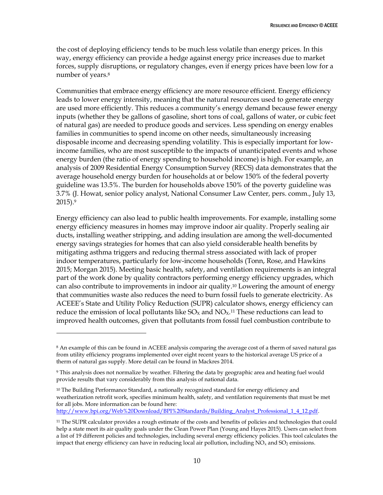the cost of deploying efficiency tends to be much less volatile than energy prices. In this way, energy efficiency can provide a hedge against energy price increases due to market forces, supply disruptions, or regulatory changes, even if energy prices have been low for a number of years. 8

Communities that embrace energy efficiency are more resource efficient. Energy efficiency leads to lower energy intensity, meaning that the natural resources used to generate energy are used more efficiently. This reduces a community's energy demand because fewer energy inputs (whether they be gallons of gasoline, short tons of coal, gallons of water, or cubic feet of natural gas) are needed to produce goods and services. Less spending on energy enables families in communities to spend income on other needs, simultaneously increasing disposable income and decreasing spending volatility. This is especially important for lowincome families, who are most susceptible to the impacts of unanticipated events and whose energy burden (the ratio of energy spending to household income) is high. For example, an analysis of 2009 Residential Energy Consumption Survey (RECS) data demonstrates that the average household energy burden for households at or below 150% of the federal poverty guideline was 13.5%. The burden for households above 150% of the poverty guideline was 3.7% (J. Howat, senior policy analyst, National Consumer Law Center, pers. comm., July 13, 2015). 9

Energy efficiency can also lead to public health improvements. For example, installing some energy efficiency measures in homes may improve indoor air quality. Properly sealing air ducts, installing weather stripping, and adding insulation are among the well-documented energy savings strategies for homes that can also yield considerable health benefits by mitigating asthma triggers and reducing thermal stress associated with lack of proper indoor temperatures, particularly for low-income households (Tonn, Rose, and Hawkins 2015; Morgan 2015). Meeting basic health, safety, and ventilation requirements is an integral part of the work done by quality contractors performing energy efficiency upgrades, which can also contribute to improvements in indoor air quality. <sup>10</sup> Lowering the amount of energy that communities waste also reduces the need to burn fossil fuels to generate electricity. As ACEEE's State and Utility Policy Reduction (SUPR) calculator shows, energy efficiency can reduce the emission of local pollutants like  $SO_{X}$  and  $NO_{X}$ .<sup>11</sup> These reductions can lead to improved health outcomes, given that pollutants from fossil fuel combustion contribute to

 $\overline{a}$ 

[http://www.bpi.org/Web%20Download/BPI%20Standards/Building\\_Analyst\\_Professional\\_1\\_4\\_12.pdf.](http://www.bpi.org/Web%20Download/BPI%20Standards/Building_Analyst_Professional_1_4_12.pdf) 

<sup>8</sup> An example of this can be found in ACEEE analysis comparing the average cost of a therm of saved natural gas from utility efficiency programs implemented over eight recent years to the historical average US price of a therm of natural gas supply. More detail can be found in Mackres 2014.

<sup>9</sup> This analysis does not normalize by weather. Filtering the data by geographic area and heating fuel would provide results that vary considerably from this analysis of national data.

 $10$  The Building Performance Standard, a nationally recognized standard for energy efficiency and weatherization retrofit work, specifies minimum health, safety, and ventilation requirements that must be met for all jobs. More information can be found here:

<sup>11</sup> The SUPR calculator provides a rough estimate of the costs and benefits of policies and technologies that could help a state meet its air quality goals under the Clean Power Plan (Young and Hayes 2015). Users can select from a list of 19 different policies and technologies, including several energy efficiency policies. This tool calculates the impact that energy efficiency can have in reducing local air pollution, including  $NO<sub>x</sub>$  and  $SO<sub>2</sub>$  emissions.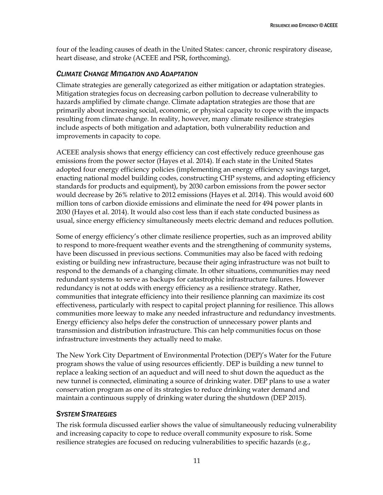four of the leading causes of death in the United States: cancer, chronic respiratory disease, heart disease, and stroke (ACEEE and PSR, forthcoming).

#### <span id="page-19-0"></span>*CLIMATE CHANGE MITIGATION AND ADAPTATION*

Climate strategies are generally categorized as either mitigation or adaptation strategies. Mitigation strategies focus on decreasing carbon pollution to decrease vulnerability to hazards amplified by climate change. Climate adaptation strategies are those that are primarily about increasing social, economic, or physical capacity to cope with the impacts resulting from climate change. In reality, however, many climate resilience strategies include aspects of both mitigation and adaptation, both vulnerability reduction and improvements in capacity to cope.

ACEEE analysis shows that energy efficiency can cost effectively reduce greenhouse gas emissions from the power sector (Hayes et al. 2014). If each state in the United States adopted four energy efficiency policies (implementing an energy efficiency savings target, enacting national model building codes, constructing CHP systems, and adopting efficiency standards for products and equipment), by 2030 carbon emissions from the power sector would decrease by 26% relative to 2012 emissions (Hayes et al. 2014). This would avoid 600 million tons of carbon dioxide emissions and eliminate the need for 494 power plants in 2030 (Hayes et al. 2014). It would also cost less than if each state conducted business as usual, since energy efficiency simultaneously meets electric demand and reduces pollution.

Some of energy efficiency's other climate resilience properties, such as an improved ability to respond to more-frequent weather events and the strengthening of community systems, have been discussed in previous sections. Communities may also be faced with redoing existing or building new infrastructure, because their aging infrastructure was not built to respond to the demands of a changing climate. In other situations, communities may need redundant systems to serve as backups for catastrophic infrastructure failures. However redundancy is not at odds with energy efficiency as a resilience strategy. Rather, communities that integrate efficiency into their resilience planning can maximize its cost effectiveness, particularly with respect to capital project planning for resilience. This allows communities more leeway to make any needed infrastructure and redundancy investments. Energy efficiency also helps defer the construction of unnecessary power plants and transmission and distribution infrastructure. This can help communities focus on those infrastructure investments they actually need to make.

The New York City Department of Environmental Protection (DEP)'s Water for the Future program shows the value of using resources efficiently. DEP is building a new tunnel to replace a leaking section of an aqueduct and will need to shut down the aqueduct as the new tunnel is connected, eliminating a source of drinking water. DEP plans to use a water conservation program as one of its strategies to reduce drinking water demand and maintain a continuous supply of drinking water during the shutdown (DEP 2015).

#### <span id="page-19-1"></span>*SYSTEM STRATEGIES*

The risk formula discussed earlier shows the value of simultaneously reducing vulnerability and increasing capacity to cope to reduce overall community exposure to risk. Some resilience strategies are focused on reducing vulnerabilities to specific hazards (e.g.,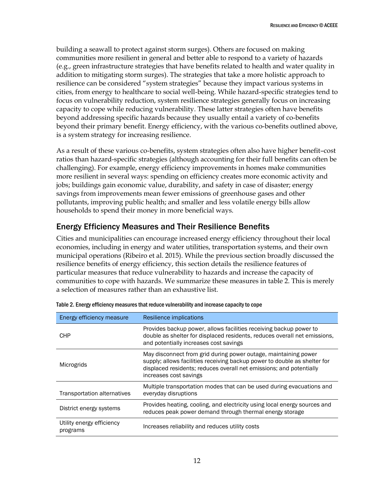building a seawall to protect against storm surges). Others are focused on making communities more resilient in general and better able to respond to a variety of hazards (e.g., green infrastructure strategies that have benefits related to health and water quality in addition to mitigating storm surges). The strategies that take a more holistic approach to resilience can be considered "system strategies" because they impact various systems in cities, from energy to healthcare to social well-being. While hazard-specific strategies tend to focus on vulnerability reduction, system resilience strategies generally focus on increasing capacity to cope while reducing vulnerability. These latter strategies often have benefits beyond addressing specific hazards because they usually entail a variety of co-benefits beyond their primary benefit. Energy efficiency, with the various co-benefits outlined above, is a system strategy for increasing resilience.

As a result of these various co-benefits, system strategies often also have higher benefit–cost ratios than hazard-specific strategies (although accounting for their full benefits can often be challenging). For example, energy efficiency improvements in homes make communities more resilient in several ways: spending on efficiency creates more economic activity and jobs; buildings gain economic value, durability, and safety in case of disaster; energy savings from improvements mean fewer emissions of greenhouse gases and other pollutants, improving public health; and smaller and less volatile energy bills allow households to spend their money in more beneficial ways.

### <span id="page-20-0"></span>Energy Efficiency Measures and Their Resilience Benefits

Cities and municipalities can encourage increased energy efficiency throughout their local economies, including in energy and water utilities, transportation systems, and their own municipal operations (Ribeiro et al. 2015). While the previous section broadly discussed the resilience benefits of energy efficiency, this section details the resilience features of particular measures that reduce vulnerability to hazards and increase the capacity of communities to cope with hazards. We summarize these measures in table 2. This is merely a selection of measures rather than an exhaustive list.

| Energy efficiency measure             | Resilience implications                                                                                                                                                                                                                       |
|---------------------------------------|-----------------------------------------------------------------------------------------------------------------------------------------------------------------------------------------------------------------------------------------------|
| <b>CHP</b>                            | Provides backup power, allows facilities receiving backup power to<br>double as shelter for displaced residents, reduces overall net emissions,<br>and potentially increases cost savings                                                     |
| Microgrids                            | May disconnect from grid during power outage, maintaining power<br>supply; allows facilities receiving backup power to double as shelter for<br>displaced residents; reduces overall net emissions; and potentially<br>increases cost savings |
| Transportation alternatives           | Multiple transportation modes that can be used during evacuations and<br>everyday disruptions                                                                                                                                                 |
| District energy systems               | Provides heating, cooling, and electricity using local energy sources and<br>reduces peak power demand through thermal energy storage                                                                                                         |
| Utility energy efficiency<br>programs | Increases reliability and reduces utility costs                                                                                                                                                                                               |

| Table 2. Energy efficiency measures that reduce vulnerability and increase capacity to cope |  |  |
|---------------------------------------------------------------------------------------------|--|--|
|                                                                                             |  |  |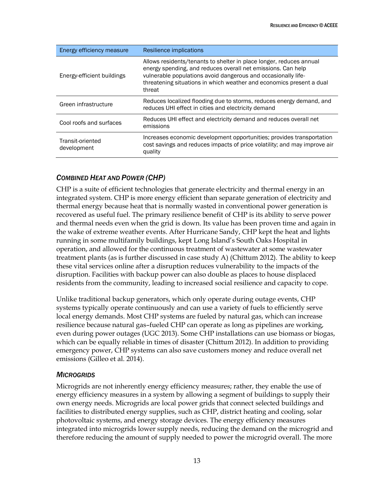| Energy efficiency measure       | Resilience implications                                                                                                                                                                                                                                                                |
|---------------------------------|----------------------------------------------------------------------------------------------------------------------------------------------------------------------------------------------------------------------------------------------------------------------------------------|
| Energy-efficient buildings      | Allows residents/tenants to shelter in place longer, reduces annual<br>energy spending, and reduces overall net emissions. Can help<br>vulnerable populations avoid dangerous and occasionally life-<br>threatening situations in which weather and economics present a dual<br>threat |
| Green infrastructure            | Reduces localized flooding due to storms, reduces energy demand, and<br>reduces UHI effect in cities and electricity demand                                                                                                                                                            |
| Cool roofs and surfaces         | Reduces UHI effect and electricity demand and reduces overall net<br>emissions                                                                                                                                                                                                         |
| Transit-oriented<br>development | Increases economic development opportunities; provides transportation<br>cost savings and reduces impacts of price volatility; and may improve air<br>quality                                                                                                                          |

### <span id="page-21-0"></span>*COMBINED HEAT AND POWER (CHP)*

CHP is a suite of efficient technologies that generate electricity and thermal energy in an integrated system. CHP is more energy efficient than separate generation of electricity and thermal energy because heat that is normally wasted in conventional power generation is recovered as useful fuel. The primary resilience benefit of CHP is its ability to serve power and thermal needs even when the grid is down. Its value has been proven time and again in the wake of extreme weather events. After Hurricane Sandy, CHP kept the heat and lights running in some multifamily buildings, kept Long Island's South Oaks Hospital in operation, and allowed for the continuous treatment of wastewater at some wastewater treatment plants (as is further discussed in case study A) (Chittum 2012). The ability to keep these vital services online after a disruption reduces vulnerability to the impacts of the disruption. Facilities with backup power can also double as places to house displaced residents from the community, leading to increased social resilience and capacity to cope.

Unlike traditional backup generators, which only operate during outage events, CHP systems typically operate continuously and can use a variety of fuels to efficiently serve local energy demands. Most CHP systems are fueled by natural gas, which can increase resilience because natural gas–fueled CHP can operate as long as pipelines are working, even during power outages (UGC 2013). Some CHP installations can use biomass or biogas, which can be equally reliable in times of disaster (Chittum 2012). In addition to providing emergency power, CHP systems can also save customers money and reduce overall net emissions (Gilleo et al. 2014).

#### <span id="page-21-1"></span>*MICROGRIDS*

Microgrids are not inherently energy efficiency measures; rather, they enable the use of energy efficiency measures in a system by allowing a segment of buildings to supply their own energy needs. Microgrids are local power grids that connect selected buildings and facilities to distributed energy supplies, such as CHP, district heating and cooling, solar photovoltaic systems, and energy storage devices. The energy efficiency measures integrated into microgrids lower supply needs, reducing the demand on the microgrid and therefore reducing the amount of supply needed to power the microgrid overall. The more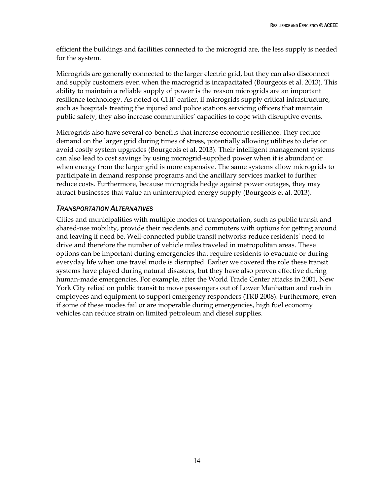efficient the buildings and facilities connected to the microgrid are, the less supply is needed for the system.

Microgrids are generally connected to the larger electric grid, but they can also disconnect and supply customers even when the macrogrid is incapacitated (Bourgeois et al. 2013). This ability to maintain a reliable supply of power is the reason microgrids are an important resilience technology. As noted of CHP earlier, if microgrids supply critical infrastructure, such as hospitals treating the injured and police stations servicing officers that maintain public safety, they also increase communities' capacities to cope with disruptive events.

Microgrids also have several co-benefits that increase economic resilience. They reduce demand on the larger grid during times of stress, potentially allowing utilities to defer or avoid costly system upgrades (Bourgeois et al. 2013). Their intelligent management systems can also lead to cost savings by using microgrid-supplied power when it is abundant or when energy from the larger grid is more expensive. The same systems allow microgrids to participate in demand response programs and the ancillary services market to further reduce costs. Furthermore, because microgrids hedge against power outages, they may attract businesses that value an uninterrupted energy supply (Bourgeois et al. 2013).

#### <span id="page-22-0"></span>*TRANSPORTATION ALTERNATIVES*

Cities and municipalities with multiple modes of transportation, such as public transit and shared-use mobility, provide their residents and commuters with options for getting around and leaving if need be. Well-connected public transit networks reduce residents' need to drive and therefore the number of vehicle miles traveled in metropolitan areas. These options can be important during emergencies that require residents to evacuate or during everyday life when one travel mode is disrupted. Earlier we covered the role these transit systems have played during natural disasters, but they have also proven effective during human-made emergencies. For example, after the World Trade Center attacks in 2001, New York City relied on public transit to move passengers out of Lower Manhattan and rush in employees and equipment to support emergency responders (TRB 2008). Furthermore, even if some of these modes fail or are inoperable during emergencies, high fuel economy vehicles can reduce strain on limited petroleum and diesel supplies.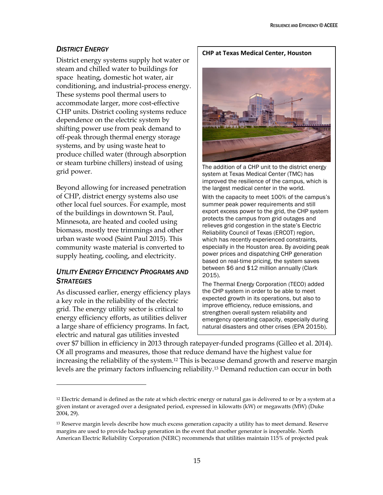#### <span id="page-23-0"></span>**DISTRICT ENERGY**

District energy systems supply hot water or steam and chilled water to buildings for space heating, domestic hot water, air conditioning, and industrial-process energy. These systems pool thermal users to accommodate larger, more cost-effective CHP units. District cooling systems reduce dependence on the electric system by shifting power use from peak demand to off-peak through thermal energy storage systems, and by using waste heat to produce chilled water (through absorption or steam turbine chillers) instead of using grid power.

Beyond allowing for increased penetration of CHP, district energy systems also use other local fuel sources. For example, most of the buildings in downtown St. Paul, Minnesota, are heated and cooled using biomass, mostly tree trimmings and other urban waste wood (Saint Paul 2015). This community waste material is converted to supply heating, cooling, and electricity.

### <span id="page-23-1"></span>*UTILITY ENERGY EFFICIENCY PROGRAMS AND STRATEGIES*

As discussed earlier, energy efficiency plays a key role in the reliability of the electric grid. The energy utility sector is critical to energy efficiency efforts, as utilities deliver a large share of efficiency programs. In fact, electric and natural gas utilities invested

 $\overline{a}$ 

**CHP at Texas Medical Center, Houston**



The addition of a CHP unit to the district energy system at Texas Medical Center (TMC) has improved the resilience of the campus, which is the largest medical center in the world.

With the capacity to meet 100% of the campus's summer peak power requirements and still export excess power to the grid, the CHP system protects the campus from grid outages and relieves grid congestion in the state's Electric Reliability Council of Texas (ERCOT) region, which has recently experienced constraints, especially in the Houston area. By avoiding peak power prices and dispatching CHP generation based on real-time pricing, the system saves between \$6 and \$12 million annually (Clark 2015).

The Thermal Energy Corporation (TECO) added the CHP system in order to be able to meet expected growth in its operations, but also to improve efficiency, reduce emissions, and strengthen overall system reliability and emergency operating capacity, especially during natural disasters and other crises (EPA 2015b).

over \$7 billion in efficiency in 2013 through ratepayer-funded programs (Gilleo et al. 2014). Of all programs and measures, those that reduce demand have the highest value for increasing the reliability of the system.<sup>12</sup> This is because demand growth and reserve margin levels are the primary factors influencing reliability.<sup>13</sup> Demand reduction can occur in both

<sup>&</sup>lt;sup>12</sup> Electric demand is defined as the rate at which electric energy or natural gas is delivered to or by a system at a given instant or averaged over a designated period, expressed in kilowatts (kW) or megawatts (MW) (Duke 2004, 29).

<sup>&</sup>lt;sup>13</sup> Reserve margin levels describe how much excess generation capacity a utility has to meet demand. Reserve margins are used to provide backup generation in the event that another generator is inoperable. North American Electric Reliability Corporation (NERC) recommends that utilities maintain 115% of projected peak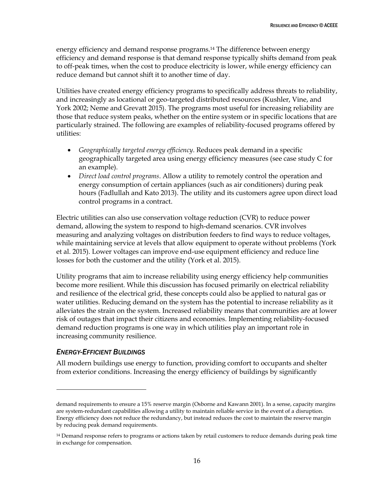energy efficiency and demand response programs.<sup>14</sup> The difference between energy efficiency and demand response is that demand response typically shifts demand from peak to off-peak times, when the cost to produce electricity is lower, while energy efficiency can reduce demand but cannot shift it to another time of day.

Utilities have created energy efficiency programs to specifically address threats to reliability, and increasingly as locational or geo-targeted distributed resources (Kushler, Vine, and York 2002; Neme and Grevatt 2015). The programs most useful for increasing reliability are those that reduce system peaks, whether on the entire system or in specific locations that are particularly strained. The following are examples of reliability-focused programs offered by utilities:

- *Geographically targeted energy efficiency*. Reduces peak demand in a specific geographically targeted area using energy efficiency measures (see case study C for an example).
- *Direct load control programs*. Allow a utility to remotely control the operation and energy consumption of certain appliances (such as air conditioners) during peak hours (Fadlullah and Kato 2013). The utility and its customers agree upon direct load control programs in a contract.

Electric utilities can also use conservation voltage reduction (CVR) to reduce power demand, allowing the system to respond to high-demand scenarios. CVR involves measuring and analyzing voltages on distribution feeders to find ways to reduce voltages, while maintaining service at levels that allow equipment to operate without problems (York et al. 2015). Lower voltages can improve end-use equipment efficiency and reduce line losses for both the customer and the utility (York et al. 2015).

Utility programs that aim to increase reliability using energy efficiency help communities become more resilient. While this discussion has focused primarily on electrical reliability and resilience of the electrical grid, these concepts could also be applied to natural gas or water utilities. Reducing demand on the system has the potential to increase reliability as it alleviates the strain on the system. Increased reliability means that communities are at lower risk of outages that impact their citizens and economies. Implementing reliability-focused demand reduction programs is one way in which utilities play an important role in increasing community resilience.

#### <span id="page-24-0"></span>*ENERGY-EFFICIENT BUILDINGS*

 $\overline{a}$ 

All modern buildings use energy to function, providing comfort to occupants and shelter from exterior conditions. Increasing the energy efficiency of buildings by significantly

demand requirements to ensure a 15% reserve margin (Osborne and Kawann 2001). In a sense, capacity margins are system-redundant capabilities allowing a utility to maintain reliable service in the event of a disruption. Energy efficiency does not reduce the redundancy, but instead reduces the cost to maintain the reserve margin by reducing peak demand requirements.

<sup>14</sup> Demand response refers to programs or actions taken by retail customers to reduce demands during peak time in exchange for compensation.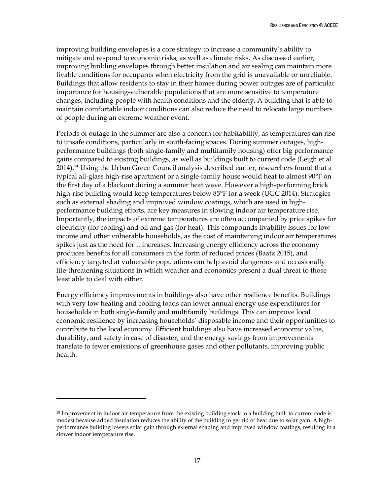improving building envelopes is a core strategy to increase a community's ability to mitigate and respond to economic risks, as well as climate risks. As discussed earlier, improving building envelopes through better insulation and air sealing can maintain more livable conditions for occupants when electricity from the grid is unavailable or unreliable. Buildings that allow residents to stay in their homes during power outages are of particular importance for housing-vulnerable populations that are more sensitive to temperature changes, including people with health conditions and the elderly. A building that is able to maintain comfortable indoor conditions can also reduce the need to relocate large numbers of people during an extreme weather event.

Periods of outage in the summer are also a concern for habitability, as temperatures can rise to unsafe conditions, particularly in south-facing spaces. During summer outages, highperformance buildings (both single-family and multifamily housing) offer big performance gains compared to existing buildings, as well as buildings built to current code (Leigh et al. 2014).<sup>15</sup> Using the Urban Green Council analysis described earlier, researchers found that a typical all-glass high-rise apartment or a single-family house would heat to almost 90°F on the first day of a blackout during a summer heat wave. However a high-performing brick high-rise building would keep temperatures below 85°F for a week (UGC 2014). Strategies such as external shading and improved window coatings, which are used in highperformance building efforts, are key measures in slowing indoor air temperature rise. Importantly, the impacts of extreme temperatures are often accompanied by price spikes for electricity (for cooling) and oil and gas (for heat). This compounds livability issues for lowincome and other vulnerable households, as the cost of maintaining indoor air temperatures spikes just as the need for it increases. Increasing energy efficiency across the economy produces benefits for all consumers in the form of reduced prices (Baatz 2015), and efficiency targeted at vulnerable populations can help avoid dangerous and occasionally life-threatening situations in which weather and economics present a dual threat to those least able to deal with either.

Energy efficiency improvements in buildings also have other resilience benefits. Buildings with very low heating and cooling loads can lower annual energy use expenditures for households in both single-family and multifamily buildings. This can improve local economic resilience by increasing households' disposable income and their opportunities to contribute to the local economy. Efficient buildings also have increased economic value, durability, and safety in case of disaster, and the energy savings from improvements translate to fewer emissions of greenhouse gases and other pollutants, improving public health.

 $\overline{a}$ 

<sup>15</sup> Improvement in indoor air temperature from the existing building stock to a building built to current code is modest because added insulation reduces the ability of the building to get rid of heat due to solar gain. A highperformance building lowers solar gain through external shading and improved window coatings, resulting in a slower indoor temperature rise.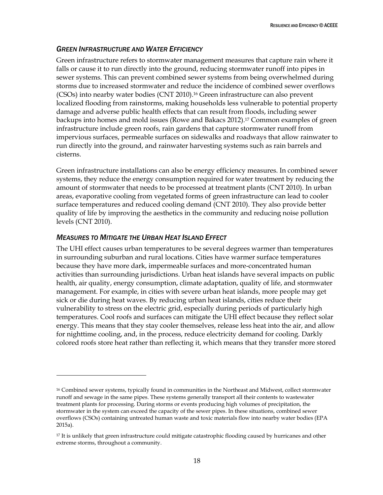### <span id="page-26-0"></span>*GREEN INFRASTRUCTURE AND WATER EFFICIENCY*

Green infrastructure refers to stormwater management measures that capture rain where it falls or cause it to run directly into the ground, reducing stormwater runoff into pipes in sewer systems. This can prevent combined sewer systems from being overwhelmed during storms due to increased stormwater and reduce the incidence of combined sewer overflows (CSOs) into nearby water bodies (CNT 2010). <sup>16</sup> Green infrastructure can also prevent localized flooding from rainstorms, making households less vulnerable to potential property damage and adverse public health effects that can result from floods, including sewer backups into homes and mold issues (Rowe and Bakacs 2012).<sup>17</sup> Common examples of green infrastructure include green roofs, rain gardens that capture stormwater runoff from impervious surfaces, permeable surfaces on sidewalks and roadways that allow rainwater to run directly into the ground, and rainwater harvesting systems such as rain barrels and cisterns.

Green infrastructure installations can also be energy efficiency measures. In combined sewer systems, they reduce the energy consumption required for water treatment by reducing the amount of stormwater that needs to be processed at treatment plants (CNT 2010). In urban areas, evaporative cooling from vegetated forms of green infrastructure can lead to cooler surface temperatures and reduced cooling demand (CNT 2010). They also provide better quality of life by improving the aesthetics in the community and reducing noise pollution levels (CNT 2010).

### <span id="page-26-1"></span>*MEASURES TO MITIGATE THE URBAN HEAT ISLAND EFFECT*

 $\overline{a}$ 

The UHI effect causes urban temperatures to be several degrees warmer than temperatures in surrounding suburban and rural locations. Cities have warmer surface temperatures because they have more dark, impermeable surfaces and more-concentrated human activities than surrounding jurisdictions. Urban heat islands have several impacts on public health, air quality, energy consumption, climate adaptation, quality of life, and stormwater management. For example, in cities with severe urban heat islands, more people may get sick or die during heat waves. By reducing urban heat islands, cities reduce their vulnerability to stress on the electric grid, especially during periods of particularly high temperatures. Cool roofs and surfaces can mitigate the UHI effect because they reflect solar energy. This means that they stay cooler themselves, release less heat into the air, and allow for nighttime cooling, and, in the process, reduce electricity demand for cooling. Darkly colored roofs store heat rather than reflecting it, which means that they transfer more stored

<sup>16</sup> Combined sewer systems, typically found in communities in the Northeast and Midwest, collect stormwater runoff and sewage in the same pipes. These systems generally transport all their contents to wastewater treatment plants for processing. During storms or events producing high volumes of precipitation, the stormwater in the system can exceed the capacity of the sewer pipes. In these situations, combined sewer overflows (CSOs) containing untreated human waste and toxic materials flow into nearby water bodies (EPA 2015a).

<sup>&</sup>lt;sup>17</sup> It is unlikely that green infrastructure could mitigate catastrophic flooding caused by hurricanes and other extreme storms, throughout a community.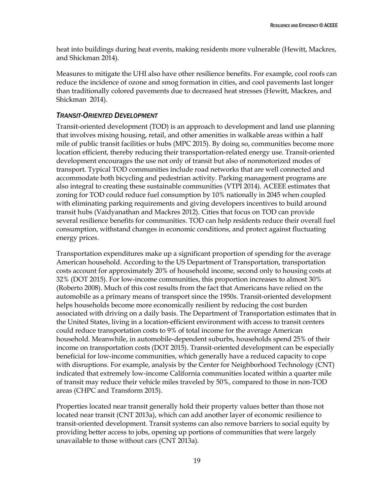heat into buildings during heat events, making residents more vulnerable (Hewitt, Mackres, and Shickman 2014).

Measures to mitigate the UHI also have other resilience benefits. For example, cool roofs can reduce the incidence of ozone and smog formation in cities, and cool pavements last longer than traditionally colored pavements due to decreased heat stresses (Hewitt, Mackres, and Shickman 2014).

### <span id="page-27-0"></span>*TRANSIT-ORIENTED DEVELOPMENT*

Transit-oriented development (TOD) is an approach to development and land use planning that involves mixing housing, retail, and other amenities in walkable areas within a half mile of public transit facilities or hubs (MPC 2015). By doing so, communities become more location efficient, thereby reducing their transportation-related energy use. Transit-oriented development encourages the use not only of transit but also of nonmotorized modes of transport. Typical TOD communities include road networks that are well connected and accommodate both bicycling and pedestrian activity. Parking management programs are also integral to creating these sustainable communities (VTPI 2014). ACEEE estimates that zoning for TOD could reduce fuel consumption by 10% nationally in 2045 when coupled with eliminating parking requirements and giving developers incentives to build around transit hubs (Vaidyanathan and Mackres 2012). Cities that focus on TOD can provide several resilience benefits for communities. TOD can help residents reduce their overall fuel consumption, withstand changes in economic conditions, and protect against fluctuating energy prices.

Transportation expenditures make up a significant proportion of spending for the average American household. According to the US Department of Transportation, transportation costs account for approximately 20% of household income, second only to housing costs at 32% (DOT 2015). For low-income communities, this proportion increases to almost 30% (Roberto 2008). Much of this cost results from the fact that Americans have relied on the automobile as a primary means of transport since the 1950s. Transit-oriented development helps households become more economically resilient by reducing the cost burden associated with driving on a daily basis. The Department of Transportation estimates that in the United States, living in a location-efficient environment with access to transit centers could reduce transportation costs to 9% of total income for the average American household. Meanwhile, in automobile-dependent suburbs, households spend 25% of their income on transportation costs (DOT 2015). Transit-oriented development can be especially beneficial for low-income communities, which generally have a reduced capacity to cope with disruptions. For example, analysis by the Center for Neighborhood Technology (CNT) indicated that extremely low-income California communities located within a quarter mile of transit may reduce their vehicle miles traveled by 50%, compared to those in non-TOD areas (CHPC and Transform 2015).

Properties located near transit generally hold their property values better than those not located near transit (CNT 2013a), which can add another layer of economic resilience to transit-oriented development. Transit systems can also remove barriers to social equity by providing better access to jobs, opening up portions of communities that were largely unavailable to those without cars (CNT 2013a).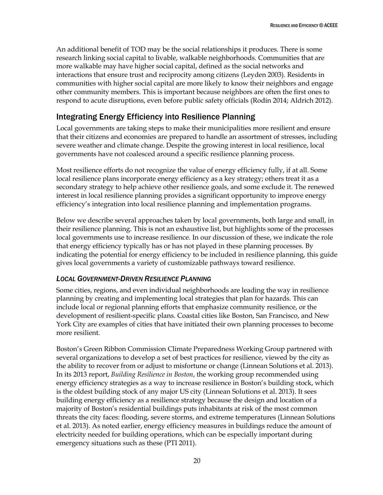An additional benefit of TOD may be the social relationships it produces. There is some research linking social capital to livable, walkable neighborhoods. Communities that are more walkable may have higher social capital, defined as the social networks and interactions that ensure trust and reciprocity among citizens (Leyden 2003). Residents in communities with higher social capital are more likely to know their neighbors and engage other community members. This is important because neighbors are often the first ones to respond to acute disruptions, even before public safety officials (Rodin 2014; Aldrich 2012).

# <span id="page-28-0"></span>Integrating Energy Efficiency into Resilience Planning

Local governments are taking steps to make their municipalities more resilient and ensure that their citizens and economies are prepared to handle an assortment of stresses, including severe weather and climate change. Despite the growing interest in local resilience, local governments have not coalesced around a specific resilience planning process.

Most resilience efforts do not recognize the value of energy efficiency fully, if at all. Some local resilience plans incorporate energy efficiency as a key strategy; others treat it as a secondary strategy to help achieve other resilience goals, and some exclude it. The renewed interest in local resilience planning provides a significant opportunity to improve energy efficiency's integration into local resilience planning and implementation programs.

Below we describe several approaches taken by local governments, both large and small, in their resilience planning. This is not an exhaustive list, but highlights some of the processes local governments use to increase resilience. In our discussion of these, we indicate the role that energy efficiency typically has or has not played in these planning processes. By indicating the potential for energy efficiency to be included in resilience planning, this guide gives local governments a variety of customizable pathways toward resilience.

### *LOCAL GOVERNMENT-DRIVEN RESILIENCE PLANNING*

Some cities, regions, and even individual neighborhoods are leading the way in resilience planning by creating and implementing local strategies that plan for hazards. This can include local or regional planning efforts that emphasize community resilience, or the development of resilient-specific plans. Coastal cities like Boston, San Francisco, and New York City are examples of cities that have initiated their own planning processes to become more resilient.

Boston's Green Ribbon Commission Climate Preparedness Working Group partnered with several organizations to develop a set of best practices for resilience, viewed by the city as the ability to recover from or adjust to misfortune or change (Linnean Solutions et al. 2013). In its 2013 report, *Building Resilience in Boston*, the working group recommended using energy efficiency strategies as a way to increase resilience in Boston's building stock, which is the oldest building stock of any major US city (Linnean Solutions et al. 2013). It sees building energy efficiency as a resilience strategy because the design and location of a majority of Boston's residential buildings puts inhabitants at risk of the most common threats the city faces: flooding, severe storms, and extreme temperatures (Linnean Solutions et al. 2013). As noted earlier, energy efficiency measures in buildings reduce the amount of electricity needed for building operations, which can be especially important during emergency situations such as these (PTI 2011).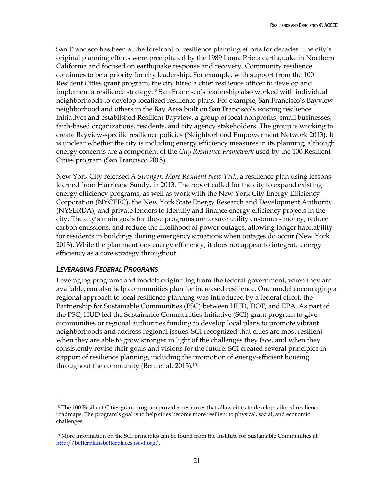San Francisco has been at the forefront of resilience planning efforts for decades. The city's original planning efforts were precipitated by the 1989 Loma Prieta earthquake in Northern California and focused on earthquake response and recovery. Community resilience continues to be a priority for city leadership. For example, with support from the 100 Resilient Cities grant program, the city hired a chief resilience officer to develop and implement a resilience strategy. <sup>18</sup> San Francisco's leadership also worked with individual neighborhoods to develop localized resilience plans. For example, San Francisco's Bayview neighborhood and others in the Bay Area built on San Francisco's existing resilience initiatives and established Resilient Bayview, a group of local nonprofits, small businesses, faith-based organizations, residents, and city agency stakeholders. The group is working to create Bayview-specific resilience policies (Neighborhood Empowerment Network 2013). It is unclear whether the city is including energy efficiency measures in its planning, although energy concerns are a component of the *City Resilience Framework* used by the 100 Resilient Cities program (San Francisco 2015).

New York City released *A Stronger, More Resilient New York*, a resilience plan using lessons learned from Hurricane Sandy, in 2013. The report called for the city to expand existing energy efficiency programs, as well as work with the New York City Energy Efficiency Corporation (NYCEEC), the New York State Energy Research and Development Authority (NYSERDA), and private lenders to identify and finance energy efficiency projects in the city. The city's main goals for these programs are to save utility customers money, reduce carbon emissions, and reduce the likelihood of power outages, allowing longer habitability for residents in buildings during emergency situations when outages do occur (New York 2013). While the plan mentions energy efficiency, it does not appear to integrate energy efficiency as a core strategy throughout.

#### *LEVERAGING FEDERAL PROGRAMS*

 $\overline{a}$ 

Leveraging programs and models originating from the federal government, when they are available, can also help communities plan for increased resilience. One model encouraging a regional approach to local resilience planning was introduced by a federal effort, the Partnership for Sustainable Communities (PSC) between HUD, DOT, and EPA. As part of the PSC, HUD led the Sustainable Communities Initiative (SCI) grant program to give communities or regional authorities funding to develop local plans to promote vibrant neighborhoods and address regional issues. SCI recognized that cities are most resilient when they are able to grow stronger in light of the challenges they face, and when they consistently revise their goals and visions for the future. SCI created several principles in support of resilience planning, including the promotion of energy-efficient housing throughout the community (Bent et al. 2015).<sup>19</sup>

<sup>18</sup> The 100 Resilient Cities grant program provides resources that allow cities to develop tailored resilience roadmaps. The program's goal is to help cities become more resilient to physical, social, and economic challenges.

<sup>&</sup>lt;sup>19</sup> More information on the SCI principles can be found from the Institute for Sustainable Communities at [http://betterplansbetterplaces.iscvt.org/.](http://betterplansbetterplaces.iscvt.org/)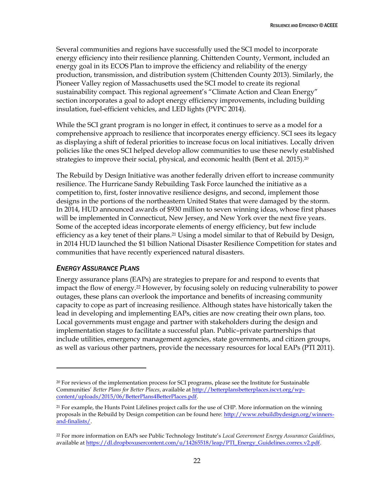Several communities and regions have successfully used the SCI model to incorporate energy efficiency into their resilience planning. Chittenden County, Vermont, included an energy goal in its ECOS Plan to improve the efficiency and reliability of the energy production, transmission, and distribution system (Chittenden County 2013). Similarly, the Pioneer Valley region of Massachusetts used the SCI model to create its regional sustainability compact. This regional agreement's "Climate Action and Clean Energy" section incorporates a goal to adopt energy efficiency improvements, including building insulation, fuel-efficient vehicles, and LED lights (PVPC 2014).

While the SCI grant program is no longer in effect, it continues to serve as a model for a comprehensive approach to resilience that incorporates energy efficiency. SCI sees its legacy as displaying a shift of federal priorities to increase focus on local initiatives. Locally driven policies like the ones SCI helped develop allow communities to use these newly established strategies to improve their social, physical, and economic health (Bent et al. 2015).<sup>20</sup>

The Rebuild by Design Initiative was another federally driven effort to increase community resilience. The Hurricane Sandy Rebuilding Task Force launched the initiative as a competition to, first, foster innovative resilience designs, and second, implement those designs in the portions of the northeastern United States that were damaged by the storm. In 2014, HUD announced awards of \$930 million to seven winning ideas, whose first phases will be implemented in Connecticut, New Jersey, and New York over the next five years. Some of the accepted ideas incorporate elements of energy efficiency, but few include efficiency as a key tenet of their plans.<sup>21</sup> Using a model similar to that of Rebuild by Design, in 2014 HUD launched the \$1 billion National Disaster Resilience Competition for states and communities that have recently experienced natural disasters.

#### *ENERGY ASSURANCE PLANS*

 $\overline{a}$ 

Energy assurance plans (EAPs) are strategies to prepare for and respond to events that impact the flow of energy.<sup>22</sup> However, by focusing solely on reducing vulnerability to power outages, these plans can overlook the importance and benefits of increasing community capacity to cope as part of increasing resilience. Although states have historically taken the lead in developing and implementing EAPs, cities are now creating their own plans, too. Local governments must engage and partner with stakeholders during the design and implementation stages to facilitate a successful plan. Public–private partnerships that include utilities, emergency management agencies, state governments, and citizen groups, as well as various other partners, provide the necessary resources for local EAPs (PTI 2011).

<sup>20</sup> For reviews of the implementation process for SCI programs, please see the Institute for Sustainable Communities' *Better Plans for Better Places*, available a[t http://betterplansbetterplaces.iscvt.org/wp](http://betterplansbetterplaces.iscvt.org/wp-content/uploads/2015/06/BetterPlans4BetterPlaces.pdf)[content/uploads/2015/06/BetterPlans4BetterPlaces.pdf.](http://betterplansbetterplaces.iscvt.org/wp-content/uploads/2015/06/BetterPlans4BetterPlaces.pdf)

<sup>21</sup> For example, the Hunts Point Lifelines project calls for the use of CHP. More information on the winning proposals in the Rebuild by Design competition can be found here: [http://www.rebuildbydesign.org/winners](http://www.rebuildbydesign.org/winners-and-finalists/)[and-finalists/.](http://www.rebuildbydesign.org/winners-and-finalists/)

<sup>22</sup> For more information on EAPs see Public Technology Institute's *Local Government Energy Assurance Guidelines*, available a[t https://dl.dropboxusercontent.com/u/14265518/leap/PTI\\_Energy\\_Guidelines.correx.v2.pdf.](https://dl.dropboxusercontent.com/u/14265518/leap/PTI_Energy_Guidelines.correx.v2.pdf)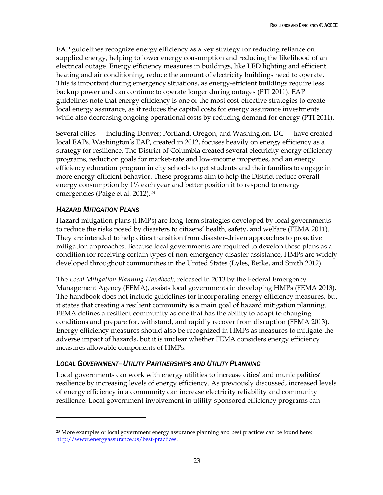EAP guidelines recognize energy efficiency as a key strategy for reducing reliance on supplied energy, helping to lower energy consumption and reducing the likelihood of an electrical outage. Energy efficiency measures in buildings, like LED lighting and efficient heating and air conditioning, reduce the amount of electricity buildings need to operate. This is important during emergency situations, as energy-efficient buildings require less backup power and can continue to operate longer during outages (PTI 2011). EAP guidelines note that energy efficiency is one of the most cost-effective strategies to create local energy assurance, as it reduces the capital costs for energy assurance investments while also decreasing ongoing operational costs by reducing demand for energy (PTI 2011).

Several cities — including Denver; Portland, Oregon; and Washington, DC — have created local EAPs. Washington's EAP, created in 2012, focuses heavily on energy efficiency as a strategy for resilience. The District of Columbia created several electricity energy efficiency programs, reduction goals for market-rate and low-income properties, and an energy efficiency education program in city schools to get students and their families to engage in more energy-efficient behavior. These programs aim to help the District reduce overall energy consumption by 1% each year and better position it to respond to energy emergencies (Paige et al. 2012).<sup>23</sup>

### *HAZARD MITIGATION PLANS*

 $\overline{a}$ 

Hazard mitigation plans (HMPs) are long-term strategies developed by local governments to reduce the risks posed by disasters to citizens' health, safety, and welfare (FEMA 2011). They are intended to help cities transition from disaster-driven approaches to proactive mitigation approaches. Because local governments are required to develop these plans as a condition for receiving certain types of non-emergency disaster assistance, HMPs are widely developed throughout communities in the United States (Lyles, Berke, and Smith 2012).

The *Local Mitigation Planning Handbook*, released in 2013 by the Federal Emergency Management Agency (FEMA), assists local governments in developing HMPs (FEMA 2013). The handbook does not include guidelines for incorporating energy efficiency measures, but it states that creating a resilient community is a main goal of hazard mitigation planning. FEMA defines a resilient community as one that has the ability to adapt to changing conditions and prepare for, withstand, and rapidly recover from disruption (FEMA 2013). Energy efficiency measures should also be recognized in HMPs as measures to mitigate the adverse impact of hazards, but it is unclear whether FEMA considers energy efficiency measures allowable components of HMPs.

#### *LOCAL GOVERNMENT–UTILITY PARTNERSHIPS AND UTILITY PLANNING*

Local governments can work with energy utilities to increase cities' and municipalities' resilience by increasing levels of energy efficiency. As previously discussed, increased levels of energy efficiency in a community can increase electricity reliability and community resilience. Local government involvement in utility-sponsored efficiency programs can

<sup>&</sup>lt;sup>23</sup> More examples of local government energy assurance planning and best practices can be found here: [http://www.energyassurance.us/best-practices.](http://www.energyassurance.us/best-practices)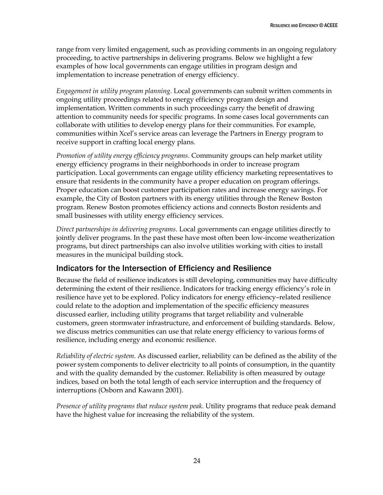range from very limited engagement, such as providing comments in an ongoing regulatory proceeding, to active partnerships in delivering programs. Below we highlight a few examples of how local governments can engage utilities in program design and implementation to increase penetration of energy efficiency.

*Engagement in utility program planning*. Local governments can submit written comments in ongoing utility proceedings related to energy efficiency program design and implementation. Written comments in such proceedings carry the benefit of drawing attention to community needs for specific programs. In some cases local governments can collaborate with utilities to develop energy plans for their communities. For example, communities within Xcel's service areas can leverage the Partners in Energy program to receive support in crafting local energy plans.

*Promotion of utility energy efficiency programs*. Community groups can help market utility energy efficiency programs in their neighborhoods in order to increase program participation. Local governments can engage utility efficiency marketing representatives to ensure that residents in the community have a proper education on program offerings. Proper education can boost customer participation rates and increase energy savings. For example, the City of Boston partners with its energy utilities through the Renew Boston program. Renew Boston promotes efficiency actions and connects Boston residents and small businesses with utility energy efficiency services.

*Direct partnerships in delivering programs*. Local governments can engage utilities directly to jointly deliver programs. In the past these have most often been low-income weatherization programs, but direct partnerships can also involve utilities working with cities to install measures in the municipal building stock.

### <span id="page-32-0"></span>Indicators for the Intersection of Efficiency and Resilience

Because the field of resilience indicators is still developing, communities may have difficulty determining the extent of their resilience. Indicators for tracking energy efficiency's role in resilience have yet to be explored. Policy indicators for energy efficiency–related resilience could relate to the adoption and implementation of the specific efficiency measures discussed earlier, including utility programs that target reliability and vulnerable customers, green stormwater infrastructure, and enforcement of building standards. Below, we discuss metrics communities can use that relate energy efficiency to various forms of resilience, including energy and economic resilience.

*Reliability of electric system*. As discussed earlier, reliability can be defined as the ability of the power system components to deliver electricity to all points of consumption, in the quantity and with the quality demanded by the customer. Reliability is often measured by outage indices, based on both the total length of each service interruption and the frequency of interruptions (Osborn and Kawann 2001).

*Presence of utility programs that reduce system peak*. Utility programs that reduce peak demand have the highest value for increasing the reliability of the system.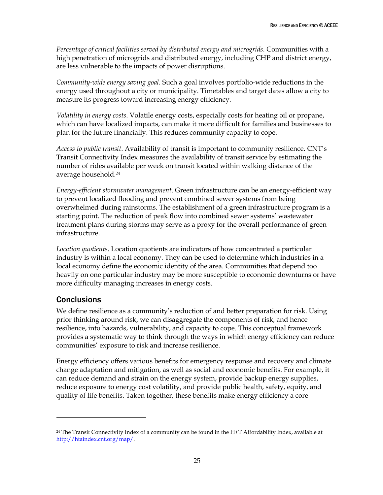*Percentage of critical facilities served by distributed energy and microgrids*. Communities with a high penetration of microgrids and distributed energy, including CHP and district energy, are less vulnerable to the impacts of power disruptions.

*Community-wide energy saving goal.* Such a goal involves portfolio-wide reductions in the energy used throughout a city or municipality. Timetables and target dates allow a city to measure its progress toward increasing energy efficiency.

*Volatility in energy costs*. Volatile energy costs, especially costs for heating oil or propane, which can have localized impacts, can make it more difficult for families and businesses to plan for the future financially. This reduces community capacity to cope.

*Access to public transit*. Availability of transit is important to community resilience. CNT's Transit Connectivity Index measures the availability of transit service by estimating the number of rides available per week on transit located within walking distance of the average household. 24

*Energy-efficient stormwater management*. Green infrastructure can be an energy-efficient way to prevent localized flooding and prevent combined sewer systems from being overwhelmed during rainstorms. The establishment of a green infrastructure program is a starting point. The reduction of peak flow into combined sewer systems' wastewater treatment plans during storms may serve as a proxy for the overall performance of green infrastructure.

*Location quotients*. Location quotients are indicators of how concentrated a particular industry is within a local economy. They can be used to determine which industries in a local economy define the economic identity of the area. Communities that depend too heavily on one particular industry may be more susceptible to economic downturns or have more difficulty managing increases in energy costs.

### <span id="page-33-0"></span>**Conclusions**

 $\overline{a}$ 

We define resilience as a community's reduction of and better preparation for risk. Using prior thinking around risk, we can disaggregate the components of risk, and hence resilience, into hazards, vulnerability, and capacity to cope. This conceptual framework provides a systematic way to think through the ways in which energy efficiency can reduce communities' exposure to risk and increase resilience.

Energy efficiency offers various benefits for emergency response and recovery and climate change adaptation and mitigation, as well as social and economic benefits. For example, it can reduce demand and strain on the energy system, provide backup energy supplies, reduce exposure to energy cost volatility, and provide public health, safety, equity, and quality of life benefits. Taken together, these benefits make energy efficiency a core

<sup>&</sup>lt;sup>24</sup> The Transit Connectivity Index of a community can be found in the H+T Affordability Index, available at [http://htaindex.cnt.org/map/.](http://htaindex.cnt.org/map/)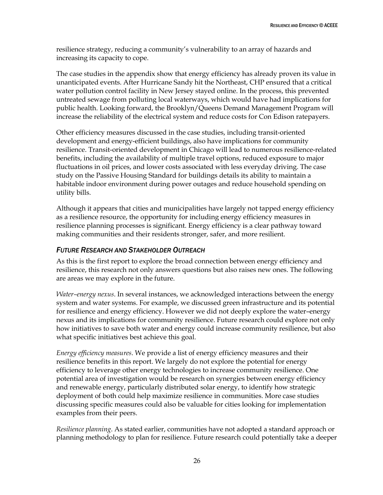resilience strategy, reducing a community's vulnerability to an array of hazards and increasing its capacity to cope.

The case studies in the appendix show that energy efficiency has already proven its value in unanticipated events. After Hurricane Sandy hit the Northeast, CHP ensured that a critical water pollution control facility in New Jersey stayed online. In the process, this prevented untreated sewage from polluting local waterways, which would have had implications for public health. Looking forward, the Brooklyn/Queens Demand Management Program will increase the reliability of the electrical system and reduce costs for Con Edison ratepayers.

Other efficiency measures discussed in the case studies, including transit-oriented development and energy-efficient buildings, also have implications for community resilience. Transit-oriented development in Chicago will lead to numerous resilience-related benefits, including the availability of multiple travel options, reduced exposure to major fluctuations in oil prices, and lower costs associated with less everyday driving. The case study on the Passive Housing Standard for buildings details its ability to maintain a habitable indoor environment during power outages and reduce household spending on utility bills.

Although it appears that cities and municipalities have largely not tapped energy efficiency as a resilience resource, the opportunity for including energy efficiency measures in resilience planning processes is significant. Energy efficiency is a clear pathway toward making communities and their residents stronger, safer, and more resilient.

#### *FUTURE RESEARCH AND STAKEHOLDER OUTREACH*

As this is the first report to explore the broad connection between energy efficiency and resilience, this research not only answers questions but also raises new ones. The following are areas we may explore in the future.

*Water–energy nexus*. In several instances, we acknowledged interactions between the energy system and water systems. For example, we discussed green infrastructure and its potential for resilience and energy efficiency. However we did not deeply explore the water–energy nexus and its implications for community resilience. Future research could explore not only how initiatives to save both water and energy could increase community resilience, but also what specific initiatives best achieve this goal.

*Energy efficiency measures*. We provide a list of energy efficiency measures and their resilience benefits in this report. We largely do not explore the potential for energy efficiency to leverage other energy technologies to increase community resilience. One potential area of investigation would be research on synergies between energy efficiency and renewable energy, particularly distributed solar energy, to identify how strategic deployment of both could help maximize resilience in communities. More case studies discussing specific measures could also be valuable for cities looking for implementation examples from their peers.

*Resilience planning*. As stated earlier, communities have not adopted a standard approach or planning methodology to plan for resilience. Future research could potentially take a deeper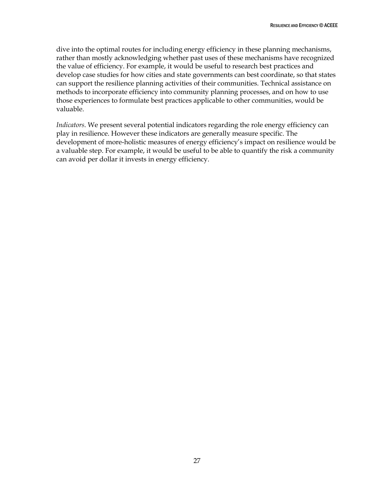dive into the optimal routes for including energy efficiency in these planning mechanisms, rather than mostly acknowledging whether past uses of these mechanisms have recognized the value of efficiency. For example, it would be useful to research best practices and develop case studies for how cities and state governments can best coordinate, so that states can support the resilience planning activities of their communities. Technical assistance on methods to incorporate efficiency into community planning processes, and on how to use those experiences to formulate best practices applicable to other communities, would be valuable.

*Indicators*. We present several potential indicators regarding the role energy efficiency can play in resilience. However these indicators are generally measure specific. The development of more-holistic measures of energy efficiency's impact on resilience would be a valuable step. For example, it would be useful to be able to quantify the risk a community can avoid per dollar it invests in energy efficiency.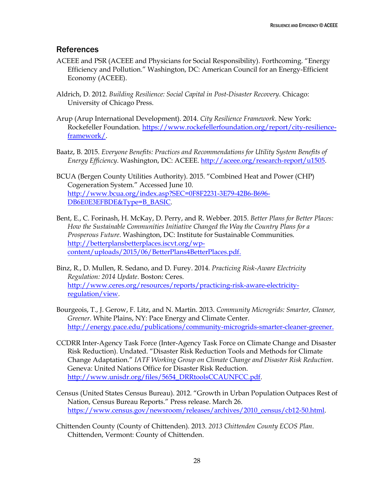### <span id="page-36-0"></span>**References**

- ACEEE and PSR (ACEEE and Physicians for Social Responsibility). Forthcoming. "Energy Efficiency and Pollution." Washington, DC: American Council for an Energy-Efficient Economy (ACEEE).
- Aldrich, D. 2012. *Building Resilience: Social Capital in Post-Disaster Recovery*. Chicago: University of Chicago Press.
- Arup (Arup International Development). 2014. *City Resilience Framework*. New York: Rockefeller Foundation. [https://www.rockefellerfoundation.org/report/city-resilience](https://www.rockefellerfoundation.org/report/city-resilience-framework/)[framework/.](https://www.rockefellerfoundation.org/report/city-resilience-framework/)
- Baatz, B. 2015. *Everyone Benefits: Practices and Recommendations for Utility System Benefits of Energy Efficiency*. Washington, DC: ACEEE. [http://aceee.org/research-report/u1505.](http://aceee.org/research-report/u1505)
- BCUA (Bergen County Utilities Authority). 2015. "Combined Heat and Power (CHP) Cogeneration System." Accessed June 10. [http://www.bcua.org/index.asp?SEC=0F8F2231-3E79-42B6-B696-](http://www.bcua.org/index.asp?SEC=0F8F2231-3E79-42B6-B696-DB6E0E3EFBDE&Type=B_BASIC) [DB6E0E3EFBDE&Type=B\\_BASIC.](http://www.bcua.org/index.asp?SEC=0F8F2231-3E79-42B6-B696-DB6E0E3EFBDE&Type=B_BASIC)
- Bent, E., C. Forinash, H. McKay, D. Perry, and R. Webber. 2015. *Better Plans for Better Places: How the Sustainable Communities Initiative Changed the Way the Country Plans for a Prosperous Future*. Washington, DC: Institute for Sustainable Communities. [http://betterplansbetterplaces.iscvt.org/wp](http://betterplansbetterplaces.iscvt.org/wp-content/uploads/2015/06/BetterPlans4BetterPlaces.pdf)[content/uploads/2015/06/BetterPlans4BetterPlaces.pdf.](http://betterplansbetterplaces.iscvt.org/wp-content/uploads/2015/06/BetterPlans4BetterPlaces.pdf)
- Binz, R., D. Mullen, R. Sedano, and D. Furey. 2014. *Practicing Risk-Aware Electricity Regulation: 2014 Update*. Boston: Ceres. [http://www.ceres.org/resources/reports/practicing-risk-aware-electricity](http://www.ceres.org/resources/reports/practicing-risk-aware-electricity-regulation/view)[regulation/view.](http://www.ceres.org/resources/reports/practicing-risk-aware-electricity-regulation/view)
- Bourgeois, T., J. Gerow, F. Litz, and N. Martin. 2013. *Community Microgrids: Smarter, Cleaner, Greener*. White Plains, NY: Pace Energy and Climate Center. [http://energy.pace.edu/publications/community-microgrids-smarter-cleaner-greener.](http://energy.pace.edu/publications/community-microgrids-smarter-cleaner-greener)
- CCDRR Inter-Agency Task Force (Inter-Agency Task Force on Climate Change and Disaster Risk Reduction). Undated. "Disaster Risk Reduction Tools and Methods for Climate Change Adaptation." *IATF Working Group on Climate Change and Disaster Risk Reduction*. Geneva: United Nations Office for Disaster Risk Reduction. [http://www.unisdr.org/files/5654\\_DRRtoolsCCAUNFCC.pdf.](http://www.unisdr.org/files/5654_DRRtoolsCCAUNFCC.pdf)
- Census (United States Census Bureau). 2012. "Growth in Urban Population Outpaces Rest of Nation, Census Bureau Reports." Press release. March 26. [https://www.census.gov/newsroom/releases/archives/2010\\_census/cb12-50.html.](https://www.census.gov/newsroom/releases/archives/2010_census/cb12-50.html)
- Chittenden County (County of Chittenden). 2013. *2013 Chittenden County ECOS Plan*. Chittenden, Vermont: County of Chittenden.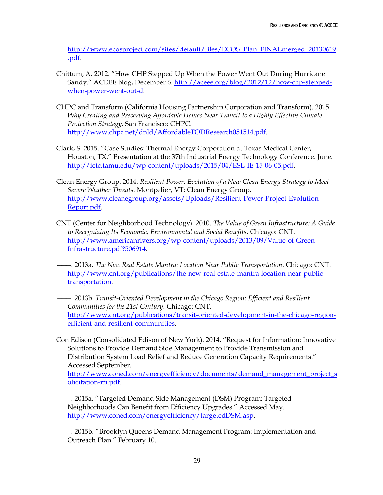[http://www.ecosproject.com/sites/default/files/ECOS\\_Plan\\_FINALmerged\\_20130619](http://www.ecosproject.com/sites/default/files/ECOS_Plan_FINALmerged_20130619.pdf) [.pdf.](http://www.ecosproject.com/sites/default/files/ECOS_Plan_FINALmerged_20130619.pdf)

- Chittum, A. 2012. "How CHP Stepped Up When the Power Went Out During Hurricane Sandy." ACEEE blog, December 6. [http://aceee.org/blog/2012/12/how-chp-stepped](http://aceee.org/blog/2012/12/how-chp-stepped-when-power-went-out-d)[when-power-went-out-d.](http://aceee.org/blog/2012/12/how-chp-stepped-when-power-went-out-d)
- CHPC and Transform (California Housing Partnership Corporation and Transform). 2015. *Why Creating and Preserving Affordable Homes Near Transit Is a Highly Effective Climate Protection Strategy*. San Francisco: CHPC. [http://www.chpc.net/dnld/AffordableTODResearch051514.pdf.](http://www.chpc.net/dnld/AffordableTODResearch051514.pdf)
- Clark, S. 2015. "Case Studies: Thermal Energy Corporation at Texas Medical Center, Houston, TX." Presentation at the 37th Industrial Energy Technology Conference. June. [http://ietc.tamu.edu/wp-content/uploads/2015/04/ESL-IE-15-06-05.pdf.](http://ietc.tamu.edu/wp-content/uploads/2015/04/ESL-IE-15-06-05.pdf)
- Clean Energy Group. 2014. *Resilient Power: Evolution of a New Clean Energy Strategy to Meet Severe Weather Threats*. Montpelier, VT: Clean Energy Group. [http://www.cleanegroup.org/assets/Uploads/Resilient-Power-Project-Evolution-](http://www.cleanegroup.org/assets/Uploads/Resilient-Power-Project-Evolution-Report.pdf)[Report.pdf.](http://www.cleanegroup.org/assets/Uploads/Resilient-Power-Project-Evolution-Report.pdf)
- CNT (Center for Neighborhood Technology). 2010. *The Value of Green Infrastructure: A Guide to Recognizing Its Economic, Environmental and Social Benefits*. Chicago: CNT. [http://www.americanrivers.org/wp-content/uploads/2013/09/Value-of-Green-](http://www.americanrivers.org/wp-content/uploads/2013/09/Value-of-Green-Infrastructure.pdf?506914)[Infrastructure.pdf?506914.](http://www.americanrivers.org/wp-content/uploads/2013/09/Value-of-Green-Infrastructure.pdf?506914)
- ———. 2013a. *The New Real Estate Mantra: Location Near Public Transportation*. Chicago: CNT. [http://www.cnt.org/publications/the-new-real-estate-mantra-location-near-public](http://www.cnt.org/publications/the-new-real-estate-mantra-location-near-public-transportation)[transportation.](http://www.cnt.org/publications/the-new-real-estate-mantra-location-near-public-transportation)
- ———. 2013b. *Transit-Oriented Development in the Chicago Region: Efficient and Resilient Communities for the 21st Century*. Chicago: CNT. [http://www.cnt.org/publications/transit-oriented-development-in-the-chicago-region](http://www.cnt.org/publications/transit-oriented-development-in-the-chicago-region-efficient-and-resilient-communities)[efficient-and-resilient-communities.](http://www.cnt.org/publications/transit-oriented-development-in-the-chicago-region-efficient-and-resilient-communities)
- Con Edison (Consolidated Edison of New York). 2014. "Request for Information: Innovative Solutions to Provide Demand Side Management to Provide Transmission and Distribution System Load Relief and Reduce Generation Capacity Requirements." Accessed September.

[http://www.coned.com/energyefficiency/documents/demand\\_management\\_project\\_s](http://www.coned.com/energyefficiency/documents/demand_management_project_solicitation-rfi.pdf) [olicitation-rfi.pdf.](http://www.coned.com/energyefficiency/documents/demand_management_project_solicitation-rfi.pdf)

- ———. 2015a. "Targeted Demand Side Management (DSM) Program: Targeted Neighborhoods Can Benefit from Efficiency Upgrades." Accessed May. [http://www.coned.com/energyefficiency/targetedDSM.asp.](http://www.coned.com/energyefficiency/targetedDSM.asp)
- ———. 2015b. "Brooklyn Queens Demand Management Program: Implementation and Outreach Plan." February 10.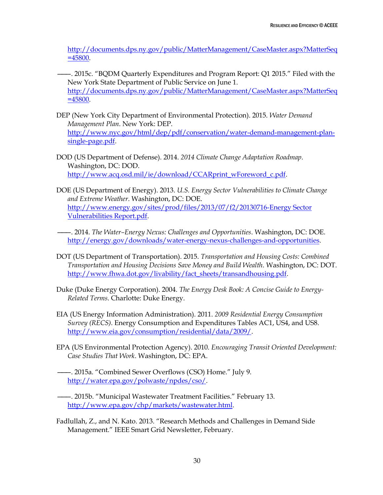[http://documents.dps.ny.gov/public/MatterManagement/CaseMaster.aspx?MatterSeq](http://documents.dps.ny.gov/public/MatterManagement/CaseMaster.aspx?MatterSeq=45800) [=45800.](http://documents.dps.ny.gov/public/MatterManagement/CaseMaster.aspx?MatterSeq=45800)

- ———. 2015c. "BQDM Quarterly Expenditures and Program Report: Q1 2015." Filed with the New York State Department of Public Service on June 1. [http://documents.dps.ny.gov/public/MatterManagement/CaseMaster.aspx?MatterSeq](http://documents.dps.ny.gov/public/MatterManagement/CaseMaster.aspx?MatterSeq=45800) [=45800.](http://documents.dps.ny.gov/public/MatterManagement/CaseMaster.aspx?MatterSeq=45800)
- DEP (New York City Department of Environmental Protection). 2015. *Water Demand Management Plan*. New York: DEP. [http://www.nyc.gov/html/dep/pdf/conservation/water-demand-management-plan](http://www.nyc.gov/html/dep/pdf/conservation/water-demand-management-plan-single-page.pdf)[single-page.pdf.](http://www.nyc.gov/html/dep/pdf/conservation/water-demand-management-plan-single-page.pdf)
- DOD (US Department of Defense). 2014. *2014 Climate Change Adaptation Roadmap*. Washington, DC: DOD. [http://www.acq.osd.mil/ie/download/CCARprint\\_wForeword\\_c.pdf.](http://www.acq.osd.mil/ie/download/CCARprint_wForeword_c.pdf)
- DOE (US Department of Energy). 2013. *U.S. Energy Sector Vulnerabilities to Climate Change and Extreme Weather*. Washington, DC: DOE. [http://www.energy.gov/sites/prod/files/2013/07/f2/20130716-Energy Sector](http://www.energy.gov/sites/prod/files/2013/07/f2/20130716-Energy%20Sector%20Vulnerabilities%20Report.pdf)  [Vulnerabilities Report.pdf.](http://www.energy.gov/sites/prod/files/2013/07/f2/20130716-Energy%20Sector%20Vulnerabilities%20Report.pdf)
- ———. 2014. *The Water–Energy Nexus: Challenges and Opportunities*. Washington, DC: DOE. [http://energy.gov/downloads/water-energy-nexus-challenges-and-opportunities.](http://energy.gov/downloads/water-energy-nexus-challenges-and-opportunities)
- DOT (US Department of Transportation). 2015. *Transportation and Housing Costs: Combined Transportation and Housing Decisions Save Money and Build Wealth*. Washington, DC: DOT. [http://www.fhwa.dot.gov/livability/fact\\_sheets/transandhousing.pdf.](http://www.fhwa.dot.gov/livability/fact_sheets/transandhousing.pdf)
- Duke (Duke Energy Corporation). 2004. *The Energy Desk Book: A Concise Guide to Energy-Related Terms*. Charlotte: Duke Energy.
- EIA (US Energy Information Administration). 2011. *2009 Residential Energy Consumption Survey (RECS)*. Energy Consumption and Expenditures Tables AC1, US4, and US8. [http://www.eia.gov/consumption/residential/data/2009/.](http://www.eia.gov/consumption/residential/data/2009/)
- EPA (US Environmental Protection Agency). 2010. *Encouraging Transit Oriented Development: Case Studies That Work*. Washington, DC: EPA.
- ———. 2015a. "Combined Sewer Overflows (CSO) Home." July 9. [http://water.epa.gov/polwaste/npdes/cso/.](http://water.epa.gov/polwaste/npdes/cso/)
- ———. 2015b. "Municipal Wastewater Treatment Facilities." February 13. [http://www.epa.gov/chp/markets/wastewater.html.](http://www.epa.gov/chp/markets/wastewater.html)
- Fadlullah, Z., and N. Kato. 2013. "Research Methods and Challenges in Demand Side Management." IEEE Smart Grid Newsletter, February.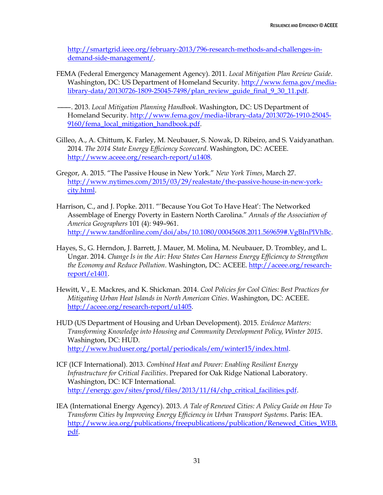[http://smartgrid.ieee.org/february-2013/796-research-methods-and-challenges-in](http://smartgrid.ieee.org/february-2013/796-research-methods-and-challenges-in-demand-side-management)[demand-side-management/](http://smartgrid.ieee.org/february-2013/796-research-methods-and-challenges-in-demand-side-management).

FEMA (Federal Emergency Management Agency). 2011. *Local Mitigation Plan Review Guide*. Washington, DC: US Department of Homeland Security. [http://www.fema.gov/media](http://www.fema.gov/media-library-data/20130726-1809-25045-7498/plan_review_guide_final_9_30_11.pdf)[library-data/20130726-1809-25045-7498/plan\\_review\\_guide\\_final\\_9\\_30\\_11.pdf.](http://www.fema.gov/media-library-data/20130726-1809-25045-7498/plan_review_guide_final_9_30_11.pdf)

———. 2013. *Local Mitigation Planning Handbook*. Washington, DC: US Department of Homeland Security. [http://www.fema.gov/media-library-data/20130726-1910-25045-](http://www.fema.gov/media-library-data/20130726-1910-25045-9160/fema_local_mitigation_handbook.pdf) [9160/fema\\_local\\_mitigation\\_handbook.pdf.](http://www.fema.gov/media-library-data/20130726-1910-25045-9160/fema_local_mitigation_handbook.pdf)

- Gilleo, A., A. Chittum, K. Farley, M. Neubauer, S. Nowak, D. Ribeiro, and S. Vaidyanathan. 2014. *The 2014 State Energy Efficiency Scorecard*. Washington, DC: ACEEE. [http://www.aceee.org/research-report/u1408.](http://www.aceee.org/research-report/u1408)
- Gregor, A. 2015. "The Passive House in New York." *New York Times*, March 27. [http://www.nytimes.com/2015/03/29/realestate/the-passive-house-in-new-york](http://www.nytimes.com/2015/03/29/realestate/the-passive-house-in-new-york-city.html)[city.html.](http://www.nytimes.com/2015/03/29/realestate/the-passive-house-in-new-york-city.html)
- Harrison, C., and J. Popke. 2011. "'Because You Got To Have Heat': The Networked Assemblage of Energy Poverty in Eastern North Carolina." *Annals of the Association of America Geographers* 101 (4): 949–961. [http://www.tandfonline.com/doi/abs/10.1080/00045608.2011.569659#.VgBInPlVhBc.](http://www.tandfonline.com/doi/abs/10.1080/00045608.2011.569659#.VgBInPlVhBc)
- Hayes, S., G. Herndon, J. Barrett, J. Mauer, M. Molina, M. Neubauer, D. Trombley, and L. Ungar. 2014. *Change Is in the Air: How States Can Harness Energy Efficiency to Strengthen the Economy and Reduce Pollution*. Washington, DC: ACEEE[. http://aceee.org/research](http://aceee.org/research-report/e1401)[report/e1401.](http://aceee.org/research-report/e1401)
- Hewitt, V., E. Mackres, and K. Shickman. 2014. *Cool Policies for Cool Cities: Best Practices for Mitigating Urban Heat Islands in North American Cities*. Washington, DC: ACEEE. [http://aceee.org/research-report/u1405.](http://aceee.org/research-report/u1405)
- HUD (US Department of Housing and Urban Development). 2015. *Evidence Matters: Transforming Knowledge into Housing and Community Development Policy, Winter 2015*. Washington, DC: HUD. [http://www.huduser.org/portal/periodicals/em/winter15/index.html.](http://www.huduser.org/portal/periodicals/em/winter15/index.html)
- ICF (ICF International). 2013. *Combined Heat and Power: Enabling Resilient Energy Infrastructure for Critical Facilities*. Prepared for Oak Ridge National Laboratory. Washington, DC: ICF International. [http://energy.gov/sites/prod/files/2013/11/f4/chp\\_critical\\_facilities.pdf.](http://energy.gov/sites/prod/files/2013/11/f4/chp_critical_facilities.pdf)
- IEA (International Energy Agency). 2013. *A Tale of Renewed Cities: A Policy Guide on How To Transform Cities by Improving Energy Efficiency in Urban Transport Systems*. Paris: IEA. http://www.iea.org/publications/freepublications/publication/Renewed Cities WEB. [pdf.](http://www.iea.org/publications/freepublications/publication/Renewed_Cities_WEB.pdf)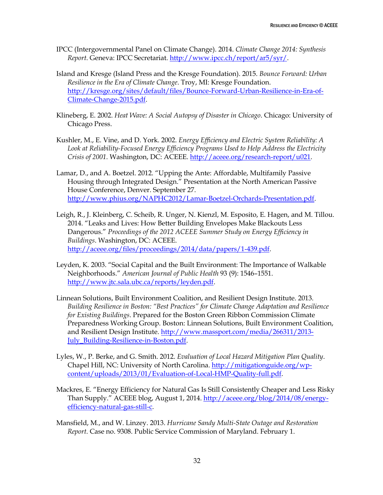- IPCC (Intergovernmental Panel on Climate Change). 2014. *Climate Change 2014: Synthesis Report*. Geneva: IPCC Secretariat. [http://www.ipcc.ch/report/ar5/syr/.](http://www.ipcc.ch/report/ar5/syr/)
- Island and Kresge (Island Press and the Kresge Foundation). 2015. *Bounce Forward: Urban Resilience in the Era of Climate Change*. Troy, MI: Kresge Foundation. [http://kresge.org/sites/default/files/Bounce-Forward-Urban-Resilience-in-Era-of-](http://kresge.org/sites/default/files/Bounce-Forward-Urban-Resilience-in-Era-of-Climate-Change-2015.pdf)[Climate-Change-2015.pdf.](http://kresge.org/sites/default/files/Bounce-Forward-Urban-Resilience-in-Era-of-Climate-Change-2015.pdf)
- Klineberg, E. 2002. *Heat Wave: A Social Autopsy of Disaster in Chicago*. Chicago: University of Chicago Press.
- Kushler, M., E. Vine, and D. York. 2002. *Energy Efficiency and Electric System Reliability: A Look at Reliability-Focused Energy Efficiency Programs Used to Help Address the Electricity Crisis of 2001*. Washington, DC: ACEEE. [http://aceee.org/research-report/u021.](http://aceee.org/research-report/u021)
- Lamar, D., and A. Boetzel. 2012. "Upping the Ante: Affordable, Multifamily Passive Housing through Integrated Design." Presentation at the North American Passive House Conference, Denver. September 27. [http://www.phius.org/NAPHC2012/Lamar-Boetzel-Orchards-Presentation.pdf.](http://www.phius.org/NAPHC2012/Lamar-Boetzel-Orchards-Presentation.pdf)
- Leigh, R., J. Kleinberg, C. Scheib, R. Unger, N. Kienzl, M. Esposito, E. Hagen, and M. Tillou. 2014. "Leaks and Lives: How Better Building Envelopes Make Blackouts Less Dangerous." *Proceedings of the 2012 ACEEE Summer Study on Energy Efficiency in Buildings*. Washington, DC: ACEEE. [http://aceee.org/files/proceedings/2014/data/papers/1-439.pdf.](http://aceee.org/files/proceedings/2014/data/papers/1-439.pdf)
- Leyden, K. 2003. "Social Capital and the Built Environment: The Importance of Walkable Neighborhoods." *American Journal of Public Health* 93 (9): 1546–1551. [http://www.jtc.sala.ubc.ca/reports/leyden.pdf.](http://www.jtc.sala.ubc.ca/reports/leyden.pdf)
- Linnean Solutions, Built Environment Coalition, and Resilient Design Institute. 2013. *Building Resilience in Boston: "Best Practices" for Climate Change Adaptation and Resilience for Existing Buildings*. Prepared for the Boston Green Ribbon Commission Climate Preparedness Working Group. Boston: Linnean Solutions, Built Environment Coalition, and Resilient Design Institute. [http://www.massport.com/media/266311/2013-](http://www.massport.com/media/266311/2013-July_Building-Resilience-in-Boston.pdf) [July\\_Building-Resilience-in-Boston.pdf.](http://www.massport.com/media/266311/2013-July_Building-Resilience-in-Boston.pdf)
- Lyles, W., P. Berke, and G. Smith. 2012. *Evaluation of Local Hazard Mitigation Plan Quality*. Chapel Hill, NC: University of North Carolina. [http://mitigationguide.org/wp](http://mitigationguide.org/wp-content/uploads/2013/01/Evaluation-of-Local-HMP-Quality-full.pdf)[content/uploads/2013/01/Evaluation-of-Local-HMP-Quality-full.pdf.](http://mitigationguide.org/wp-content/uploads/2013/01/Evaluation-of-Local-HMP-Quality-full.pdf)
- Mackres, E. "Energy Efficiency for Natural Gas Is Still Consistently Cheaper and Less Risky Than Supply." ACEEE blog, August 1, 2014. [http://aceee.org/blog/2014/08/energy](http://aceee.org/blog/2014/08/energy-efficiency-natural-gas-still-c)[efficiency-natural-gas-still-c.](http://aceee.org/blog/2014/08/energy-efficiency-natural-gas-still-c)
- Mansfield, M., and W. Linzey. 2013. *Hurricane Sandy Multi-State Outage and Restoration Report*. Case no. 9308. Public Service Commission of Maryland. February 1.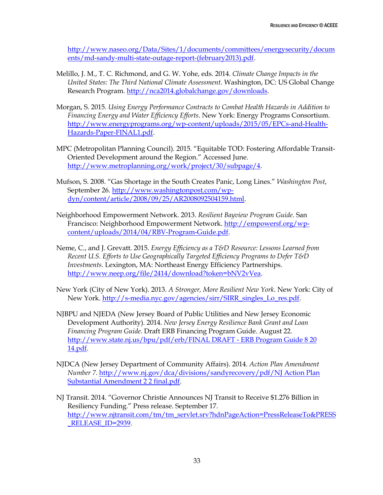[http://www.naseo.org/Data/Sites/1/documents/committees/energysecurity/docum](http://www.naseo.org/Data/Sites/1/documents/committees/energysecurity/documents/md-sandy-multi-state-outage-report-(february2013).pdf) [ents/md-sandy-multi-state-outage-report-\(february2013\).pdf.](http://www.naseo.org/Data/Sites/1/documents/committees/energysecurity/documents/md-sandy-multi-state-outage-report-(february2013).pdf)

- Melillo, J. M., T. C. Richmond, and G. W. Yohe, eds. 2014. *Climate Change Impacts in the United States: The Third National Climate Assessment*. Washington, DC: US Global Change Research Program. [http://nca2014.globalchange.gov/downloads.](http://nca2014.globalchange.gov/downloads)
- Morgan, S. 2015. *Using Energy Performance Contracts to Combat Health Hazards in Addition to Financing Energy and Water Efficiency Efforts*. New York: Energy Programs Consortium. [http://www.energyprograms.org/wp-content/uploads/2015/05/EPCs-and-Health-](http://www.energyprograms.org/wp-content/uploads/2015/05/EPCs-and-Health-Hazards-Paper-FINAL1.pdf)[Hazards-Paper-FINAL1.pdf.](http://www.energyprograms.org/wp-content/uploads/2015/05/EPCs-and-Health-Hazards-Paper-FINAL1.pdf)
- MPC (Metropolitan Planning Council). 2015. "Equitable TOD: Fostering Affordable Transit-Oriented Development around the Region." Accessed June. [http://www.metroplanning.org/work/project/30/subpage/4.](http://www.metroplanning.org/work/project/30/subpage/4)
- Mufson, S. 2008. "Gas Shortage in the South Creates Panic, Long Lines." *Washington Post*, September 26. [http://www.washingtonpost.com/wp](http://www.washingtonpost.com/wp-dyn/content/article/2008/09/25/AR2008092504159.html)[dyn/content/article/2008/09/25/AR2008092504159.html.](http://www.washingtonpost.com/wp-dyn/content/article/2008/09/25/AR2008092504159.html)
- Neighborhood Empowerment Network. 2013. *Resilient Bayview Program Guide*. San Francisco: Neighborhood Empowerment Network. [http://empowersf.org/wp](http://empowersf.org/wp-content/uploads/2014/04/RBV-Program-Guide.pdf)[content/uploads/2014/04/RBV-Program-Guide.pdf.](http://empowersf.org/wp-content/uploads/2014/04/RBV-Program-Guide.pdf)
- Neme, C., and J. Grevatt. 2015. *Energy Efficiency as a T&D Resource: Lessons Learned from Recent U.S. Efforts to Use Geographically Targeted Efficiency Programs to Defer T&D Investments*. Lexington, MA: Northeast Energy Efficiency Partnerships. [http://www.neep.org/file/2414/download?token=bNV2vVea.](http://www.neep.org/file/2414/download?token=bNV2vVea)
- New York (City of New York). 2013. *A Stronger, More Resilient New York*. New York: City of New York. [http://s-media.nyc.gov/agencies/sirr/SIRR\\_singles\\_Lo\\_res.pdf.](http://s-media.nyc.gov/agencies/sirr/SIRR_singles_Lo_res.pdf)
- NJBPU and NJEDA (New Jersey Board of Public Utilities and New Jersey Economic Development Authority). 2014. *New Jersey Energy Resilience Bank Grant and Loan Financing Program Guide*. Draft ERB Financing Program Guide. August 22. [http://www.state.nj.us/bpu/pdf/erb/FINAL DRAFT -](http://www.state.nj.us/bpu/pdf/erb/FINAL%20DRAFT%20-%20ERB%20Program%20Guide%208%2020%2014.pdf) ERB Program Guide 8 20 [14.pdf.](http://www.state.nj.us/bpu/pdf/erb/FINAL%20DRAFT%20-%20ERB%20Program%20Guide%208%2020%2014.pdf)
- NJDCA (New Jersey Department of Community Affairs). 2014. *Action Plan Amendment Number 7*[. http://www.nj.gov/dca/divisions/sandyrecovery/pdf/NJ Action Plan](http://www.nj.gov/dca/divisions/sandyrecovery/pdf/NJ%20Action%20Plan%20Substantial%20Amendment%202%202%20final.pdf)  [Substantial Amendment 2 2 final.pdf.](http://www.nj.gov/dca/divisions/sandyrecovery/pdf/NJ%20Action%20Plan%20Substantial%20Amendment%202%202%20final.pdf)
- NJ Transit. 2014. "Governor Christie Announces NJ Transit to Receive \$1.276 Billion in Resiliency Funding." Press release. September 17. [http://www.njtransit.com/tm/tm\\_servlet.srv?hdnPageAction=PressReleaseTo&PRESS](http://www.njtransit.com/tm/tm_servlet.srv?hdnPageAction=PressReleaseTo&PRESS_RELEASE_ID=2939) [\\_RELEASE\\_ID=2939.](http://www.njtransit.com/tm/tm_servlet.srv?hdnPageAction=PressReleaseTo&PRESS_RELEASE_ID=2939)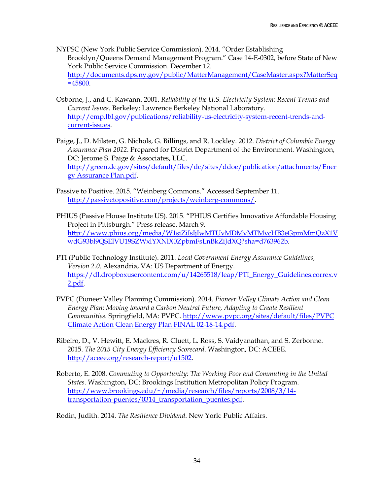NYPSC (New York Public Service Commission). 2014. "Order Establishing Brooklyn/Queens Demand Management Program." Case 14-E-0302, before State of New York Public Service Commission. December 12. [http://documents.dps.ny.gov/public/MatterManagement/CaseMaster.aspx?MatterSeq](http://documents.dps.ny.gov/public/MatterManagement/CaseMaster.aspx?MatterSeq=45800) [=45800.](http://documents.dps.ny.gov/public/MatterManagement/CaseMaster.aspx?MatterSeq=45800)

- Osborne, J., and C. Kawann. 2001. *Reliability of the U.S. Electricity System: Recent Trends and Current Issues*. Berkeley: Lawrence Berkeley National Laboratory. [http://emp.lbl.gov/publications/reliability-us-electricity-system-recent-trends-and](http://emp.lbl.gov/publications/reliability-us-electricity-system-recent-trends-and-current-issues)[current-issues.](http://emp.lbl.gov/publications/reliability-us-electricity-system-recent-trends-and-current-issues)
- Paige, J., D. Milsten, G. Nichols, G. Billings, and R. Lockley. 2012. *District of Columbia Energy Assurance Plan 2012*. Prepared for District Department of the Environment. Washington, DC: Jerome S. Paige & Associates, LLC. [http://green.dc.gov/sites/default/files/dc/sites/ddoe/publication/attachments/Ener](http://green.dc.gov/sites/default/files/dc/sites/ddoe/publication/attachments/Energy%20Assurance%20Plan.pdf) [gy Assurance Plan.pdf.](http://green.dc.gov/sites/default/files/dc/sites/ddoe/publication/attachments/Energy%20Assurance%20Plan.pdf)
- Passive to Positive. 2015. "Weinberg Commons." Accessed September 11. [http://passivetopositive.com/projects/weinberg-commons/.](http://passivetopositive.com/projects/weinberg-commons/)
- PHIUS (Passive House Institute US). 2015. "PHIUS Certifies Innovative Affordable Housing Project in Pittsburgh." Press release. March 9. [http://www.phius.org/media/W1siZiIsIjIwMTUvMDMvMTMvcHB3eGpmMmQzX1V](http://www.phius.org/media/W1siZiIsIjIwMTUvMDMvMTMvcHB3eGpmMmQzX1VwdG93bl9QSElVU19SZWxlYXNlX0ZpbmFsLnBkZiJdXQ?sha=d763962b) [wdG93bl9QSElVU19SZWxlYXNlX0ZpbmFsLnBkZiJdXQ?sha=d763962b.](http://www.phius.org/media/W1siZiIsIjIwMTUvMDMvMTMvcHB3eGpmMmQzX1VwdG93bl9QSElVU19SZWxlYXNlX0ZpbmFsLnBkZiJdXQ?sha=d763962b)
- PTI (Public Technology Institute). 2011. *Local Government Energy Assurance Guidelines, Version 2.0*. Alexandria, VA: US Department of Energy. [https://dl.dropboxusercontent.com/u/14265518/leap/PTI\\_Energy\\_Guidelines.correx.v](https://dl.dropboxusercontent.com/u/14265518/leap/PTI_Energy_Guidelines.correx.v2.pdf) [2.pdf.](https://dl.dropboxusercontent.com/u/14265518/leap/PTI_Energy_Guidelines.correx.v2.pdf)
- PVPC (Pioneer Valley Planning Commission). 2014. *Pioneer Valley Climate Action and Clean Energy Plan: Moving toward a Carbon Neutral Future, Adapting to Create Resilient Communities*. Springfield, MA: PVPC. [http://www.pvpc.org/sites/default/files/PVPC](http://www.pvpc.org/sites/default/files/PVPC%20Climate%20Action%20Clean%20Energy%20Plan%20FINAL%2002-18-14.pdf)  [Climate Action Clean Energy Plan FINAL 02-18-14.pdf.](http://www.pvpc.org/sites/default/files/PVPC%20Climate%20Action%20Clean%20Energy%20Plan%20FINAL%2002-18-14.pdf)
- Ribeiro, D., V. Hewitt, E. Mackres, R. Cluett, L. Ross, S. Vaidyanathan, and S. Zerbonne. 2015. *The 2015 City Energy Efficiency Scorecard*. Washington, DC: ACEEE. [http://aceee.org/research-report/u1502.](http://aceee.org/research-report/u1502)
- Roberto, E. 2008. *Commuting to Opportunity: The Working Poor and Commuting in the United States*. Washington, DC: Brookings Institution Metropolitan Policy Program. [http://www.brookings.edu/~/media/research/files/reports/2008/3/14](http://www.brookings.edu/~/media/research/files/reports/2008/3/14-transportation-puentes/0314_transportation_puentes.pdf) [transportation-puentes/0314\\_transportation\\_puentes.pdf.](http://www.brookings.edu/~/media/research/files/reports/2008/3/14-transportation-puentes/0314_transportation_puentes.pdf)

Rodin, Judith. 2014. *The Resilience Dividend*. New York: Public Affairs.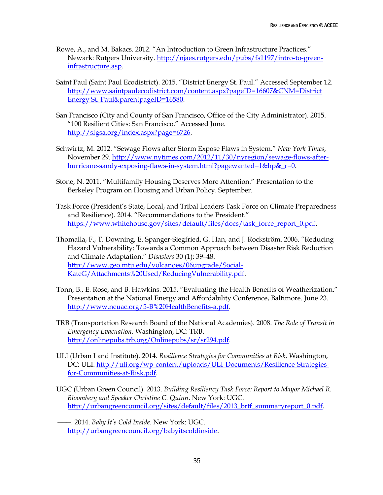- Rowe, A., and M. Bakacs. 2012. "An Introduction to Green Infrastructure Practices." Newark: Rutgers University. [http://njaes.rutgers.edu/pubs/fs1197/intro-to-green](http://njaes.rutgers.edu/pubs/fs1197/intro-to-green-infrastructure.asp)[infrastructure.asp.](http://njaes.rutgers.edu/pubs/fs1197/intro-to-green-infrastructure.asp)
- Saint Paul (Saint Paul Ecodistrict). 2015. "District Energy St. Paul." Accessed September 12. [http://www.saintpaulecodistrict.com/content.aspx?pageID=16607&CNM=District](http://www.saintpaulecodistrict.com/content.aspx?pageID=16607&CNM=District%20Energy%20St.%20Paul&parentpageID=16580)  [Energy St. Paul&parentpageID=16580.](http://www.saintpaulecodistrict.com/content.aspx?pageID=16607&CNM=District%20Energy%20St.%20Paul&parentpageID=16580)
- San Francisco (City and County of San Francisco, Office of the City Administrator). 2015. "100 Resilient Cities: San Francisco." Accessed June. [http://sfgsa.org/index.aspx?page=6726.](http://sfgsa.org/index.aspx?page=6726)
- Schwirtz, M. 2012. "Sewage Flows after Storm Expose Flaws in System." *New York Times*, November 29. [http://www.nytimes.com/2012/11/30/nyregion/sewage-flows-after](http://www.nytimes.com/2012/11/30/nyregion/sewage-flows-after-hurricane-sandy-exposing-flaws-in-system.html?pagewanted=1&hp&_r=0)hurricane-sandy-exposing-flaws-in-system.html?pagewanted=1&hp&r=0.
- Stone, N. 2011. "Multifamily Housing Deserves More Attention." Presentation to the Berkeley Program on Housing and Urban Policy. September.
- Task Force (President's State, Local, and Tribal Leaders Task Force on Climate Preparedness and Resilience). 2014. "Recommendations to the President." [https://www.whitehouse.gov/sites/default/files/docs/task\\_force\\_report\\_0.pdf.](https://www.whitehouse.gov/sites/default/files/docs/task_force_report_0.pdf)
- Thomalla, F., T. Downing, E. Spanger-Siegfried, G. Han, and J. Rockström. 2006. "Reducing Hazard Vulnerability: Towards a Common Approach between Disaster Risk Reduction and Climate Adaptation." *Disasters* 30 (1): 39–48. [http://www.geo.mtu.edu/volcanoes/06upgrade/Social-](http://www.geo.mtu.edu/volcanoes/06upgrade/Social-KateG/Attachments%20Used/ReducingVulnerability.pdf)[KateG/Attachments%20Used/ReducingVulnerability.pdf.](http://www.geo.mtu.edu/volcanoes/06upgrade/Social-KateG/Attachments%20Used/ReducingVulnerability.pdf)
- Tonn, B., E. Rose, and B. Hawkins. 2015. "Evaluating the Health Benefits of Weatherization." Presentation at the National Energy and Affordability Conference, Baltimore. June 23. [http://www.neuac.org/5-B%20HealthBenefits-a.pdf.](http://www.neuac.org/5-B%20HealthBenefits-a.pdf)
- TRB (Transportation Research Board of the National Academies). 2008. *The Role of Transit in Emergency Evacuation*. Washington, DC: TRB. [http://onlinepubs.trb.org/Onlinepubs/sr/sr294.pdf.](http://onlinepubs.trb.org/Onlinepubs/sr/sr294.pdf)
- ULI (Urban Land Institute). 2014. *Resilience Strategies for Communities at Risk*. Washington, DC: ULI. [http://uli.org/wp-content/uploads/ULI-Documents/Resilience-Strategies](http://uli.org/wp-content/uploads/ULI-Documents/Resilience-Strategies-for-Communities-at-Risk.pdf)[for-Communities-at-Risk.pdf.](http://uli.org/wp-content/uploads/ULI-Documents/Resilience-Strategies-for-Communities-at-Risk.pdf)
- UGC (Urban Green Council). 2013. *Building Resiliency Task Force: Report to Mayor Michael R. Bloomberg and Speaker Christine C. Quinn*. New York: UGC. [http://urbangreencouncil.org/sites/default/files/2013\\_brtf\\_summaryreport\\_0.pdf.](http://urbangreencouncil.org/sites/default/files/2013_brtf_summaryreport_0.pdf)
	- ———. 2014. *Baby It's Cold Inside*. New York: UGC. [http://urbangreencouncil.org/babyitscoldinside.](http://urbangreencouncil.org/babyitscoldinside)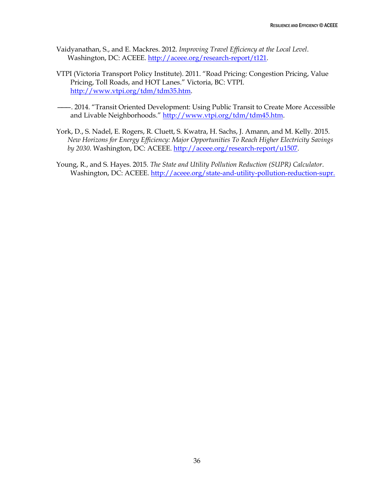- Vaidyanathan, S., and E. Mackres. 2012. *Improving Travel Efficiency at the Local Level*. Washington, DC: ACEEE. [http://aceee.org/research-report/t121.](http://aceee.org/research-report/t121)
- VTPI (Victoria Transport Policy Institute). 2011. "Road Pricing: Congestion Pricing, Value Pricing, Toll Roads, and HOT Lanes." Victoria, BC: VTPI. [http://www.vtpi.org/tdm/tdm35.htm.](http://www.vtpi.org/tdm/tdm35.htm)
- ———. 2014. "Transit Oriented Development: Using Public Transit to Create More Accessible and Livable Neighborhoods." [http://www.vtpi.org/tdm/tdm45.htm.](http://www.vtpi.org/tdm/tdm45.htm)
- York, D., S. Nadel, E. Rogers, R. Cluett, S. Kwatra, H. Sachs, J. Amann, and M. Kelly. 2015. *New Horizons for Energy Efficiency: Major Opportunities To Reach Higher Electricity Savings by 2030*. Washington, DC: ACEEE. [http://aceee.org/research-report/u1507.](http://aceee.org/research-report/u1507)
- Young, R., and S. Hayes. 2015. *The State and Utility Pollution Reduction (SUPR) Calculator*. Washington, DC: ACEEE. [http://aceee.org/state-and-utility-pollution-reduction-supr.](http://aceee.org/state-and-utility-pollution-reduction-supr)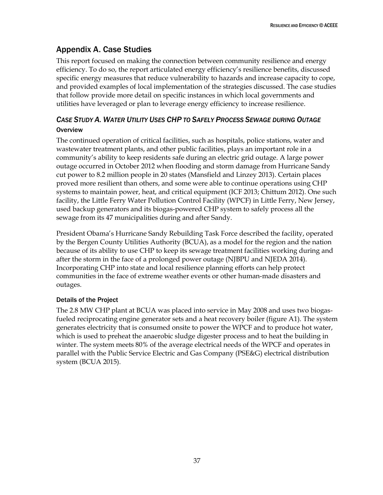# <span id="page-45-0"></span>Appendix A. Case Studies

This report focused on making the connection between community resilience and energy efficiency. To do so, the report articulated energy efficiency's resilience benefits, discussed specific energy measures that reduce vulnerability to hazards and increase capacity to cope, and provided examples of local implementation of the strategies discussed. The case studies that follow provide more detail on specific instances in which local governments and utilities have leveraged or plan to leverage energy efficiency to increase resilience.

### <span id="page-45-1"></span>*CASE STUDY A. WATER UTILITY USES CHP TO SAFELY PROCESS SEWAGE DURING OUTAGE* **Overview**

The continued operation of critical facilities, such as hospitals, police stations, water and wastewater treatment plants, and other public facilities, plays an important role in a community's ability to keep residents safe during an electric grid outage. A large power outage occurred in October 2012 when flooding and storm damage from Hurricane Sandy cut power to 8.2 million people in 20 states (Mansfield and Linzey 2013). Certain places proved more resilient than others, and some were able to continue operations using CHP systems to maintain power, heat, and critical equipment (ICF 2013; Chittum 2012). One such facility, the Little Ferry Water Pollution Control Facility (WPCF) in Little Ferry, New Jersey, used backup generators and its biogas-powered CHP system to safely process all the sewage from its 47 municipalities during and after Sandy.

President Obama's Hurricane Sandy Rebuilding Task Force described the facility, operated by the Bergen County Utilities Authority (BCUA), as a model for the region and the nation because of its ability to use CHP to keep its sewage treatment facilities working during and after the storm in the face of a prolonged power outage (NJBPU and NJEDA 2014). Incorporating CHP into state and local resilience planning efforts can help protect communities in the face of extreme weather events or other human-made disasters and outages.

### Details of the Project

The 2.8 MW CHP plant at BCUA was placed into service in May 2008 and uses two biogasfueled reciprocating engine generator sets and a heat recovery boiler (figure A1). The system generates electricity that is consumed onsite to power the WPCF and to produce hot water, which is used to preheat the anaerobic sludge digester process and to heat the building in winter. The system meets 80% of the average electrical needs of the WPCF and operates in parallel with the Public Service Electric and Gas Company (PSE&G) electrical distribution system (BCUA 2015).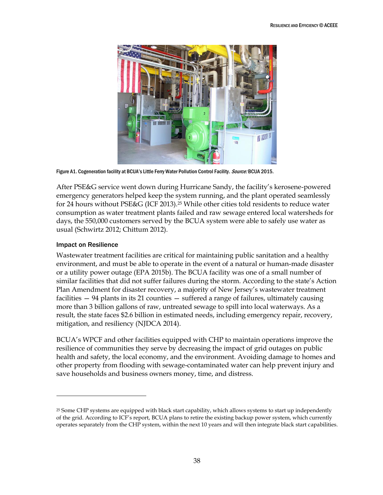

Figure A1. Cogeneration facility at BCUA's Little Ferry Water Pollution Control Facility. Source: BCUA 2015.

After PSE&G service went down during Hurricane Sandy, the facility's kerosene-powered emergency generators helped keep the system running, and the plant operated seamlessly for 24 hours without PSE&G (ICF 2013).<sup>25</sup> While other cities told residents to reduce water consumption as water treatment plants failed and raw sewage entered local watersheds for days, the 550,000 customers served by the BCUA system were able to safely use water as usual (Schwirtz 2012; Chittum 2012).

#### Impact on Resilience

 $\overline{a}$ 

Wastewater treatment facilities are critical for maintaining public sanitation and a healthy environment, and must be able to operate in the event of a natural or human-made disaster or a utility power outage (EPA 2015b). The BCUA facility was one of a small number of similar facilities that did not suffer failures during the storm. According to the state's Action Plan Amendment for disaster recovery, a majority of New Jersey's wastewater treatment facilities — 94 plants in its 21 counties — suffered a range of failures, ultimately causing more than 3 billion gallons of raw, untreated sewage to spill into local waterways. As a result, the state faces \$2.6 billion in estimated needs, including emergency repair, recovery, mitigation, and resiliency (NJDCA 2014).

BCUA's WPCF and other facilities equipped with CHP to maintain operations improve the resilience of communities they serve by decreasing the impact of grid outages on public health and safety, the local economy, and the environment. Avoiding damage to homes and other property from flooding with sewage-contaminated water can help prevent injury and save households and business owners money, time, and distress.

<sup>25</sup> Some CHP systems are equipped with black start capability, which allows systems to start up independently of the grid. According to ICF's report, BCUA plans to retire the existing backup power system, which currently operates separately from the CHP system, within the next 10 years and will then integrate black start capabilities.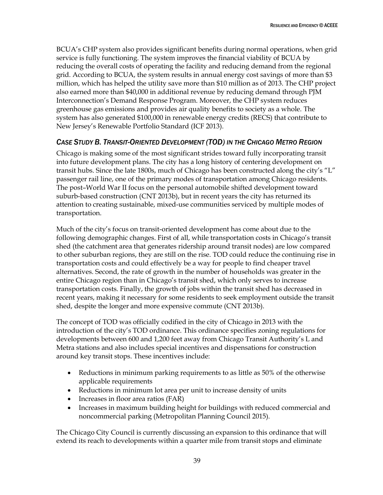BCUA's CHP system also provides significant benefits during normal operations, when grid service is fully functioning. The system improves the financial viability of BCUA by reducing the overall costs of operating the facility and reducing demand from the regional grid. According to BCUA, the system results in annual energy cost savings of more than \$3 million, which has helped the utility save more than \$10 million as of 2013. The CHP project also earned more than \$40,000 in additional revenue by reducing demand through PJM Interconnection's Demand Response Program. Moreover, the CHP system reduces greenhouse gas emissions and provides air quality benefits to society as a whole. The system has also generated \$100,000 in renewable energy credits (RECS) that contribute to New Jersey's Renewable Portfolio Standard (ICF 2013).

### <span id="page-47-0"></span>*CASE STUDY B. TRANSIT-ORIENTED DEVELOPMENT (TOD) IN THE CHICAGO METRO REGION*

Chicago is making some of the most significant strides toward fully incorporating transit into future development plans. The city has a long history of centering development on transit hubs. Since the late 1800s, much of Chicago has been constructed along the city's "L" passenger rail line, one of the primary modes of transportation among Chicago residents. The post–World War II focus on the personal automobile shifted development toward suburb-based construction (CNT 2013b), but in recent years the city has returned its attention to creating sustainable, mixed-use communities serviced by multiple modes of transportation.

Much of the city's focus on transit-oriented development has come about due to the following demographic changes. First of all, while transportation costs in Chicago's transit shed (the catchment area that generates ridership around transit nodes) are low compared to other suburban regions, they are still on the rise. TOD could reduce the continuing rise in transportation costs and could effectively be a way for people to find cheaper travel alternatives. Second, the rate of growth in the number of households was greater in the entire Chicago region than in Chicago's transit shed, which only serves to increase transportation costs. Finally, the growth of jobs within the transit shed has decreased in recent years, making it necessary for some residents to seek employment outside the transit shed, despite the longer and more expensive commute (CNT 2013b).

The concept of TOD was officially codified in the city of Chicago in 2013 with the introduction of the city's TOD ordinance. This ordinance specifies zoning regulations for developments between 600 and 1,200 feet away from Chicago Transit Authority's L and Metra stations and also includes special incentives and dispensations for construction around key transit stops. These incentives include:

- Reductions in minimum parking requirements to as little as 50% of the otherwise applicable requirements
- Reductions in minimum lot area per unit to increase density of units
- Increases in floor area ratios (FAR)
- Increases in maximum building height for buildings with reduced commercial and noncommercial parking (Metropolitan Planning Council 2015).

The Chicago City Council is currently discussing an expansion to this ordinance that will extend its reach to developments within a quarter mile from transit stops and eliminate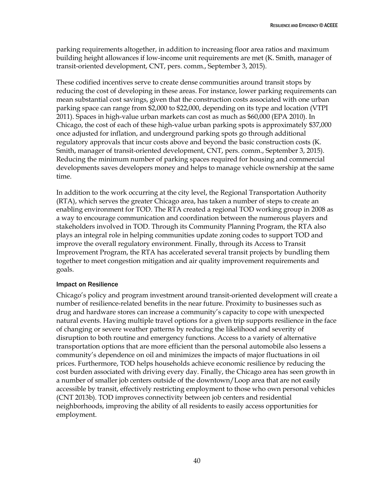parking requirements altogether, in addition to increasing floor area ratios and maximum building height allowances if low-income unit requirements are met (K. Smith, manager of transit-oriented development, CNT, pers. comm., September 3, 2015).

These codified incentives serve to create dense communities around transit stops by reducing the cost of developing in these areas. For instance, lower parking requirements can mean substantial cost savings, given that the construction costs associated with one urban parking space can range from \$2,000 to \$22,000, depending on its type and location (VTPI 2011). Spaces in high-value urban markets can cost as much as \$60,000 (EPA 2010). In Chicago, the cost of each of these high-value urban parking spots is approximately \$37,000 once adjusted for inflation, and underground parking spots go through additional regulatory approvals that incur costs above and beyond the basic construction costs (K. Smith, manager of transit-oriented development, CNT, pers. comm., September 3, 2015). Reducing the minimum number of parking spaces required for housing and commercial developments saves developers money and helps to manage vehicle ownership at the same time.

In addition to the work occurring at the city level, the Regional Transportation Authority (RTA), which serves the greater Chicago area, has taken a number of steps to create an enabling environment for TOD. The RTA created a regional TOD working group in 2008 as a way to encourage communication and coordination between the numerous players and stakeholders involved in TOD. Through its Community Planning Program, the RTA also plays an integral role in helping communities update zoning codes to support TOD and improve the overall regulatory environment. Finally, through its Access to Transit Improvement Program, the RTA has accelerated several transit projects by bundling them together to meet congestion mitigation and air quality improvement requirements and goals.

#### Impact on Resilience

Chicago's policy and program investment around transit-oriented development will create a number of resilience-related benefits in the near future. Proximity to businesses such as drug and hardware stores can increase a community's capacity to cope with unexpected natural events. Having multiple travel options for a given trip supports resilience in the face of changing or severe weather patterns by reducing the likelihood and severity of disruption to both routine and emergency functions. Access to a variety of alternative transportation options that are more efficient than the personal automobile also lessens a community's dependence on oil and minimizes the impacts of major fluctuations in oil prices. Furthermore, TOD helps households achieve economic resilience by reducing the cost burden associated with driving every day. Finally, the Chicago area has seen growth in a number of smaller job centers outside of the downtown/Loop area that are not easily accessible by transit, effectively restricting employment to those who own personal vehicles (CNT 2013b). TOD improves connectivity between job centers and residential neighborhoods, improving the ability of all residents to easily access opportunities for employment.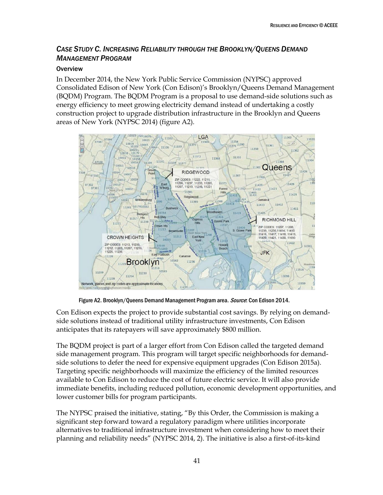# <span id="page-49-0"></span>*CASE STUDY C. INCREASING RELIABILITY THROUGH THE BROOKLYN/QUEENS DEMAND MANAGEMENT PROGRAM*

### **Overview**

In December 2014, the New York Public Service Commission (NYPSC) approved Consolidated Edison of New York (Con Edison)'s Brooklyn/Queens Demand Management (BQDM) Program. The BQDM Program is a proposal to use demand-side solutions such as energy efficiency to meet growing electricity demand instead of undertaking a costly construction project to upgrade distribution infrastructure in the Brooklyn and Queens areas of New York (NYPSC 2014) (figure A2).



Figure A2. Brooklyn/Queens Demand Management Program area. Source: Con Edison 2014.

Con Edison expects the project to provide substantial cost savings. By relying on demandside solutions instead of traditional utility infrastructure investments, Con Edison anticipates that its ratepayers will save approximately \$800 million.

The BQDM project is part of a larger effort from Con Edison called the targeted demand side management program. This program will target specific neighborhoods for demandside solutions to defer the need for expensive equipment upgrades (Con Edison 2015a). Targeting specific neighborhoods will maximize the efficiency of the limited resources available to Con Edison to reduce the cost of future electric service. It will also provide immediate benefits, including reduced pollution, economic development opportunities, and lower customer bills for program participants.

The NYPSC praised the initiative, stating, "By this Order, the Commission is making a significant step forward toward a regulatory paradigm where utilities incorporate alternatives to traditional infrastructure investment when considering how to meet their planning and reliability needs" (NYPSC 2014, 2). The initiative is also a first-of-its-kind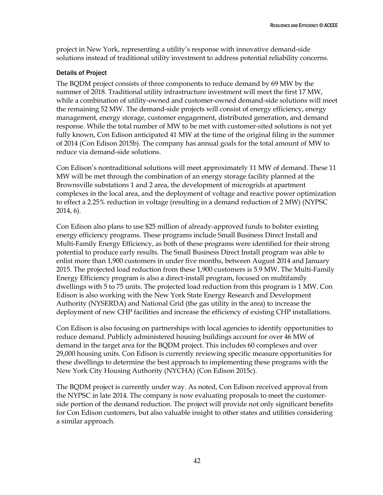project in New York, representing a utility's response with innovative demand-side solutions instead of traditional utility investment to address potential reliability concerns.

#### Details of Project

The BQDM project consists of three components to reduce demand by 69 MW by the summer of 2018. Traditional utility infrastructure investment will meet the first 17 MW, while a combination of utility-owned and customer-owned demand-side solutions will meet the remaining 52 MW. The demand-side projects will consist of energy efficiency, energy management, energy storage, customer engagement, distributed generation, and demand response. While the total number of MW to be met with customer-sited solutions is not yet fully known, Con Edison anticipated 41 MW at the time of the original filing in the summer of 2014 (Con Edison 2015b). The company has annual goals for the total amount of MW to reduce via demand-side solutions.

Con Edison's nontraditional solutions will meet approximately 11 MW of demand. These 11 MW will be met through the combination of an energy storage facility planned at the Brownsville substations 1 and 2 area, the development of microgrids at apartment complexes in the local area, and the deployment of voltage and reactive power optimization to effect a 2.25% reduction in voltage (resulting in a demand reduction of 2 MW) (NYPSC 2014, 6).

Con Edison also plans to use \$25 million of already-approved funds to bolster existing energy efficiency programs. These programs include Small Business Direct Install and Multi-Family Energy Efficiency, as both of these programs were identified for their strong potential to produce early results. The Small Business Direct Install program was able to enlist more than 1,900 customers in under five months, between August 2014 and January 2015. The projected load reduction from these 1,900 customers is 5.9 MW. The Multi-Family Energy Efficiency program is also a direct-install program, focused on multifamily dwellings with 5 to 75 units. The projected load reduction from this program is 1 MW. Con Edison is also working with the New York State Energy Research and Development Authority (NYSERDA) and National Grid (the gas utility in the area) to increase the deployment of new CHP facilities and increase the efficiency of existing CHP installations.

Con Edison is also focusing on partnerships with local agencies to identify opportunities to reduce demand. Publicly administered housing buildings account for over 46 MW of demand in the target area for the BQDM project. This includes 60 complexes and over 29,000 housing units. Con Edison is currently reviewing specific measure opportunities for these dwellings to determine the best approach to implementing these programs with the New York City Housing Authority (NYCHA) (Con Edison 2015c).

The BQDM project is currently under way. As noted, Con Edison received approval from the NYPSC in late 2014. The company is now evaluating proposals to meet the customerside portion of the demand reduction. The project will provide not only significant benefits for Con Edison customers, but also valuable insight to other states and utilities considering a similar approach.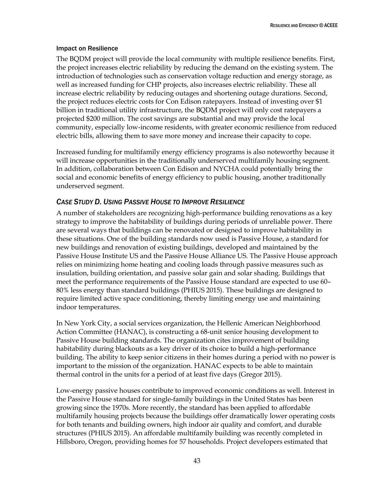#### Impact on Resilience

The BQDM project will provide the local community with multiple resilience benefits. First, the project increases electric reliability by reducing the demand on the existing system. The introduction of technologies such as conservation voltage reduction and energy storage, as well as increased funding for CHP projects, also increases electric reliability. These all increase electric reliability by reducing outages and shortening outage durations. Second, the project reduces electric costs for Con Edison ratepayers. Instead of investing over \$1 billion in traditional utility infrastructure, the BQDM project will only cost ratepayers a projected \$200 million. The cost savings are substantial and may provide the local community, especially low-income residents, with greater economic resilience from reduced electric bills, allowing them to save more money and increase their capacity to cope.

Increased funding for multifamily energy efficiency programs is also noteworthy because it will increase opportunities in the traditionally underserved multifamily housing segment. In addition, collaboration between Con Edison and NYCHA could potentially bring the social and economic benefits of energy efficiency to public housing, another traditionally underserved segment.

### <span id="page-51-0"></span>*CASE STUDY D. USING PASSIVE HOUSE TO IMPROVE RESILIENCE*

A number of stakeholders are recognizing high-performance building renovations as a key strategy to improve the habitability of buildings during periods of unreliable power. There are several ways that buildings can be renovated or designed to improve habitability in these situations. One of the building standards now used is Passive House, a standard for new buildings and renovation of existing buildings, developed and maintained by the Passive House Institute US and the Passive House Alliance US. The Passive House approach relies on minimizing home heating and cooling loads through passive measures such as insulation, building orientation, and passive solar gain and solar shading. Buildings that meet the performance requirements of the Passive House standard are expected to use 60– 80% less energy than standard buildings (PHIUS 2015). These buildings are designed to require limited active space conditioning, thereby limiting energy use and maintaining indoor temperatures.

In New York City, a social services organization, the Hellenic American Neighborhood Action Committee (HANAC), is constructing a 68-unit senior housing development to Passive House building standards. The organization cites improvement of building habitability during blackouts as a key driver of its choice to build a high-performance building. The ability to keep senior citizens in their homes during a period with no power is important to the mission of the organization. HANAC expects to be able to maintain thermal control in the units for a period of at least five days (Gregor 2015).

Low-energy passive houses contribute to improved economic conditions as well. Interest in the Passive House standard for single-family buildings in the United States has been growing since the 1970s. More recently, the standard has been applied to affordable multifamily housing projects because the buildings offer dramatically lower operating costs for both tenants and building owners, high indoor air quality and comfort, and durable structures (PHIUS 2015). An affordable multifamily building was recently completed in Hillsboro, Oregon, providing homes for 57 households. Project developers estimated that